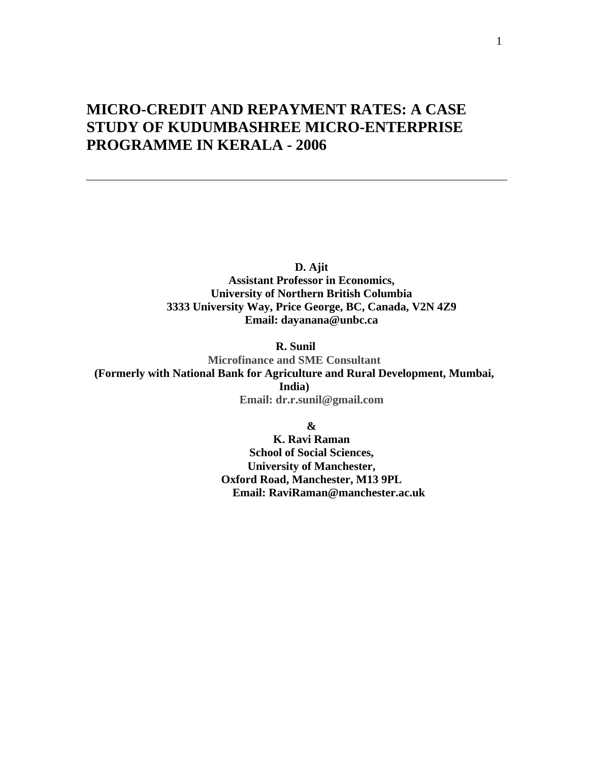# **MICRO-CREDIT AND REPAYMENT RATES: A CASE STUDY OF KUDUMBASHREE MICRO-ENTERPRISE PROGRAMME IN KERALA - 2006**

**D. Ajit Assistant Professor in Economics, University of Northern British Columbia 3333 University Way, Price George, BC, Canada, V2N 4Z9 Email: dayanana@unbc.ca** 

 **R. Sunil** 

**Microfinance and SME Consultant (Formerly with National Bank for Agriculture and Rural Development, Mumbai, India) Email: dr.r.sunil@gmail.com**

**&** 

**K. Ravi Raman School of Social Sciences, University of Manchester, Oxford Road, Manchester, M13 9PL Email: RaviRaman@manchester.ac.uk**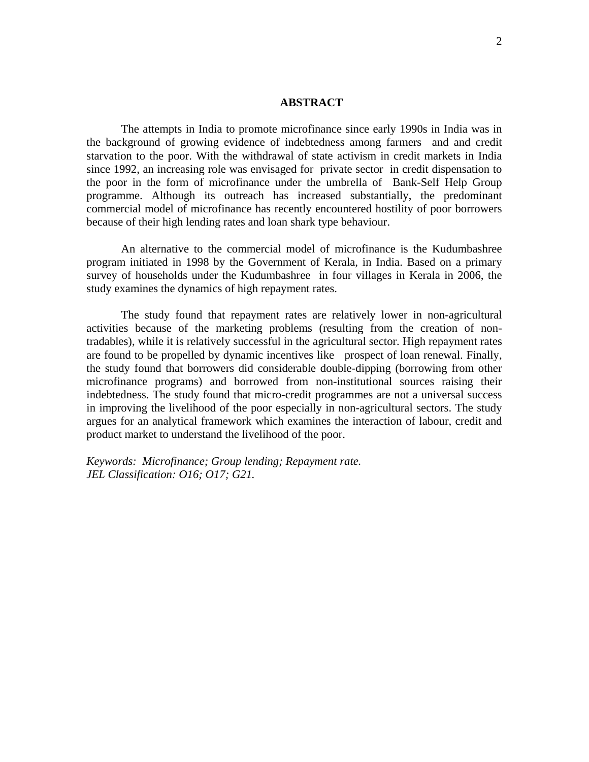#### **ABSTRACT**

The attempts in India to promote microfinance since early 1990s in India was in the background of growing evidence of indebtedness among farmers and and credit starvation to the poor. With the withdrawal of state activism in credit markets in India since 1992, an increasing role was envisaged for private sector in credit dispensation to the poor in the form of microfinance under the umbrella of Bank-Self Help Group programme. Although its outreach has increased substantially, the predominant commercial model of microfinance has recently encountered hostility of poor borrowers because of their high lending rates and loan shark type behaviour.

An alternative to the commercial model of microfinance is the Kudumbashree program initiated in 1998 by the Government of Kerala, in India. Based on a primary survey of households under the Kudumbashree in four villages in Kerala in 2006, the study examines the dynamics of high repayment rates.

The study found that repayment rates are relatively lower in non-agricultural activities because of the marketing problems (resulting from the creation of nontradables), while it is relatively successful in the agricultural sector. High repayment rates are found to be propelled by dynamic incentives like prospect of loan renewal. Finally, the study found that borrowers did considerable double-dipping (borrowing from other microfinance programs) and borrowed from non-institutional sources raising their indebtedness. The study found that micro-credit programmes are not a universal success in improving the livelihood of the poor especially in non-agricultural sectors. The study argues for an analytical framework which examines the interaction of labour, credit and product market to understand the livelihood of the poor.

*Keywords: Microfinance; Group lending; Repayment rate. JEL Classification: O16; O17; G21.*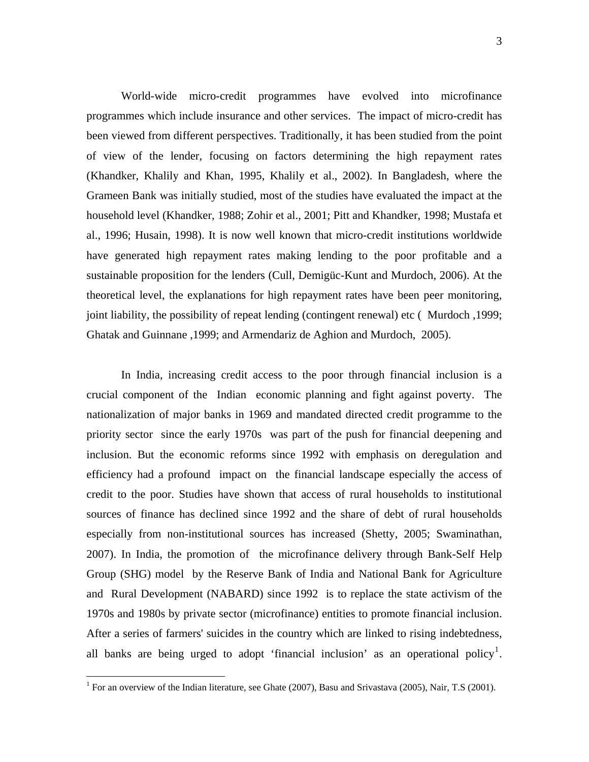World-wide micro-credit programmes have evolved into microfinance programmes which include insurance and other services. The impact of micro-credit has been viewed from different perspectives. Traditionally, it has been studied from the point of view of the lender, focusing on factors determining the high repayment rates (Khandker, Khalily and Khan, 1995, Khalily et al., 2002). In Bangladesh, where the Grameen Bank was initially studied, most of the studies have evaluated the impact at the household level (Khandker, 1988; Zohir et al., 2001; Pitt and Khandker, 1998; Mustafa et al., 1996; Husain, 1998). It is now well known that micro-credit institutions worldwide have generated high repayment rates making lending to the poor profitable and a sustainable proposition for the lenders (Cull, Demigüc-Kunt and Murdoch, 2006). At the theoretical level, the explanations for high repayment rates have been peer monitoring, joint liability, the possibility of repeat lending (contingent renewal) etc ( Murdoch ,1999; Ghatak and Guinnane ,1999; and Armendariz de Aghion and Murdoch, 2005).

In India, increasing credit access to the poor through financial inclusion is a crucial component of the Indian economic planning and fight against poverty. The nationalization of major banks in 1969 and mandated directed credit programme to the priority sector since the early 1970s was part of the push for financial deepening and inclusion. But the economic reforms since 1992 with emphasis on deregulation and efficiency had a profound impact on the financial landscape especially the access of credit to the poor. Studies have shown that access of rural households to institutional sources of finance has declined since 1992 and the share of debt of rural households especially from non-institutional sources has increased (Shetty, 2005; Swaminathan, 2007). In India, the promotion of the microfinance delivery through Bank-Self Help Group (SHG) model by the Reserve Bank of India and National Bank for Agriculture and Rural Development (NABARD) since 1992 is to replace the state activism of the 1970s and 1980s by private sector (microfinance) entities to promote financial inclusion. After a series of farmers' suicides in the country which are linked to rising indebtedness, all banks are being urged to adopt 'financial inclusion' as an operational policy<sup>[1](#page-2-0)</sup>.

<span id="page-2-0"></span> 1 For an overview of the Indian literature, see Ghate (2007), Basu and Srivastava (2005), Nair, T.S (2001).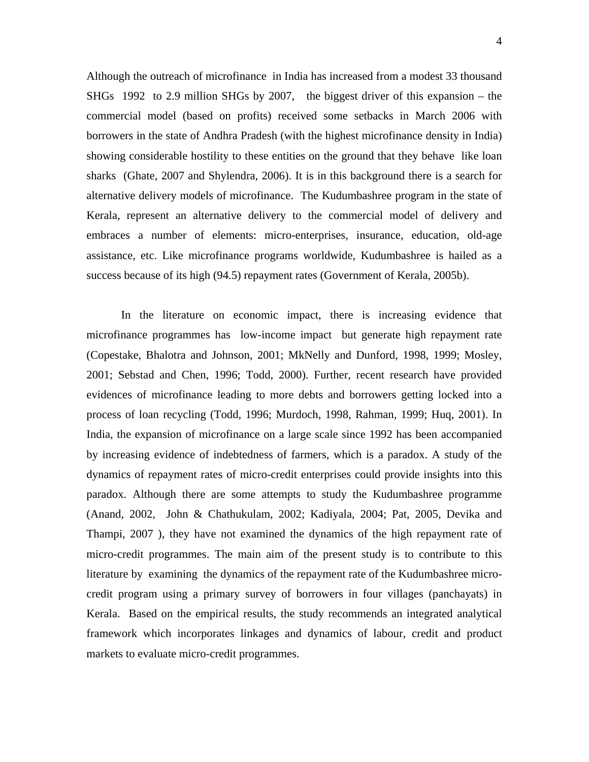Although the outreach of microfinance in India has increased from a modest 33 thousand SHGs 1992 to 2.9 million SHGs by 2007, the biggest driver of this expansion – the commercial model (based on profits) received some setbacks in March 2006 with borrowers in the state of Andhra Pradesh (with the highest microfinance density in India) showing considerable hostility to these entities on the ground that they behave like loan sharks (Ghate, 2007 and Shylendra, 2006). It is in this background there is a search for alternative delivery models of microfinance. The Kudumbashree program in the state of Kerala, represent an alternative delivery to the commercial model of delivery and embraces a number of elements: micro-enterprises, insurance, education, old-age assistance, etc. Like microfinance programs worldwide, Kudumbashree is hailed as a success because of its high (94.5) repayment rates (Government of Kerala, 2005b).

In the literature on economic impact, there is increasing evidence that microfinance programmes has low-income impact but generate high repayment rate (Copestake, Bhalotra and Johnson, 2001; MkNelly and Dunford, 1998, 1999; Mosley, 2001; Sebstad and Chen, 1996; Todd, 2000). Further, recent research have provided evidences of microfinance leading to more debts and borrowers getting locked into a process of loan recycling (Todd, 1996; Murdoch, 1998, Rahman, 1999; Huq, 2001). In India, the expansion of microfinance on a large scale since 1992 has been accompanied by increasing evidence of indebtedness of farmers, which is a paradox. A study of the dynamics of repayment rates of micro-credit enterprises could provide insights into this paradox. Although there are some attempts to study the Kudumbashree programme (Anand, 2002, John & Chathukulam, 2002; Kadiyala, 2004; Pat, 2005, Devika and Thampi, 2007 ), they have not examined the dynamics of the high repayment rate of micro-credit programmes. The main aim of the present study is to contribute to this literature by examining the dynamics of the repayment rate of the Kudumbashree microcredit program using a primary survey of borrowers in four villages (panchayats) in Kerala. Based on the empirical results, the study recommends an integrated analytical framework which incorporates linkages and dynamics of labour, credit and product markets to evaluate micro-credit programmes.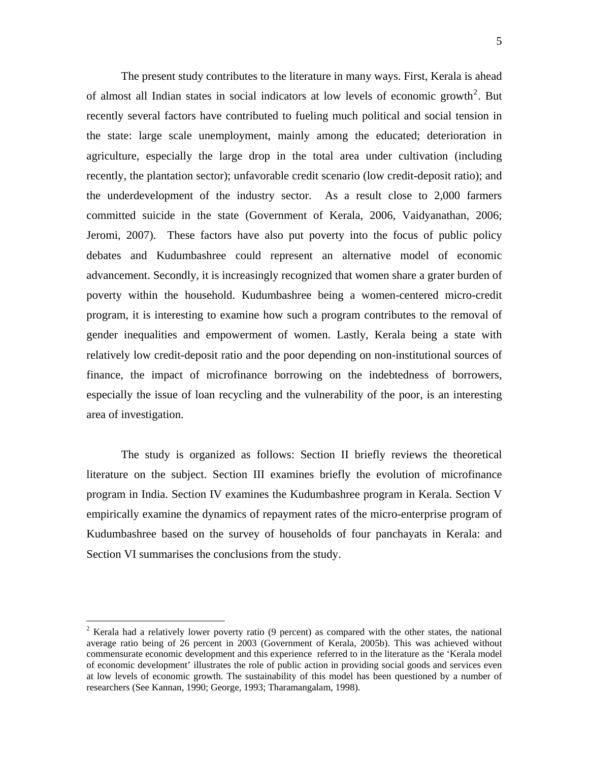The present study contributes to the literature in many ways. First, Kerala is ahead of almost all Indian states in social indicators at low levels of economic growth<sup>[2](#page-4-0)</sup>. But recently several factors have contributed to fueling much political and social tension in the state: large scale unemployment, mainly among the educated; deterioration in agriculture, especially the large drop in the total area under cultivation (including recently, the plantation sector); unfavorable credit scenario (low credit-deposit ratio); and the underdevelopment of the industry sector. As a result close to 2,000 farmers committed suicide in the state (Government of Kerala, 2006, Vaidyanathan, 2006; Jeromi, 2007). These factors have also put poverty into the focus of public policy debates and Kudumbashree could represent an alternative model of economic advancement. Secondly, it is increasingly recognized that women share a grater burden of poverty within the household. Kudumbashree being a women-centered micro-credit program, it is interesting to examine how such a program contributes to the removal of gender inequalities and empowerment of women. Lastly, Kerala being a state with relatively low credit-deposit ratio and the poor depending on non-institutional sources of finance, the impact of microfinance borrowing on the indebtedness of borrowers, especially the issue of loan recycling and the vulnerability of the poor, is an interesting area of investigation.

The study is organized as follows: Section II briefly reviews the theoretical literature on the subject. Section III examines briefly the evolution of microfinance program in India. Section IV examines the Kudumbashree program in Kerala. Section V empirically examine the dynamics of repayment rates of the micro-enterprise program of Kudumbashree based on the survey of households of four panchayats in Kerala: and Section VI summarises the conclusions from the study.

1

<span id="page-4-0"></span><sup>&</sup>lt;sup>2</sup> Kerala had a relatively lower poverty ratio (9 percent) as compared with the other states, the national average ratio being of 26 percent in 2003 (Government of Kerala, 2005b). This was achieved without commensurate economic development and this experience referred to in the literature as the 'Kerala model of economic development' illustrates the role of public action in providing social goods and services even at low levels of economic growth. The sustainability of this model has been questioned by a number of researchers (See Kannan, 1990; George, 1993; Tharamangalam, 1998).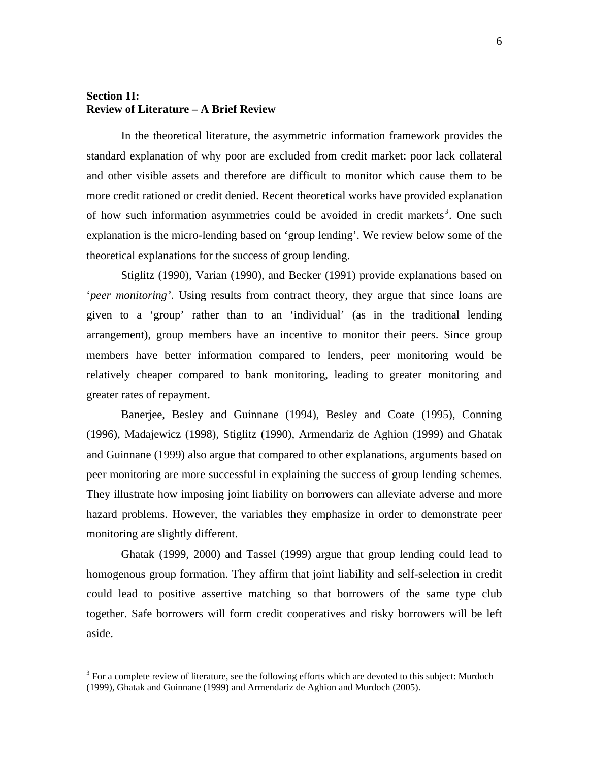# **Section 1I: Review of Literature – A Brief Review**

1

In the theoretical literature, the asymmetric information framework provides the standard explanation of why poor are excluded from credit market: poor lack collateral and other visible assets and therefore are difficult to monitor which cause them to be more credit rationed or credit denied. Recent theoretical works have provided explanation of how such information asymmetries could be avoided in credit markets<sup>[3](#page-5-0)</sup>. One such explanation is the micro-lending based on 'group lending'. We review below some of the theoretical explanations for the success of group lending.

Stiglitz (1990), Varian (1990), and Becker (1991) provide explanations based on '*peer monitoring'*. Using results from contract theory, they argue that since loans are given to a 'group' rather than to an 'individual' (as in the traditional lending arrangement), group members have an incentive to monitor their peers. Since group members have better information compared to lenders, peer monitoring would be relatively cheaper compared to bank monitoring, leading to greater monitoring and greater rates of repayment.

Banerjee, Besley and Guinnane (1994), Besley and Coate (1995), Conning (1996), Madajewicz (1998), Stiglitz (1990), Armendariz de Aghion (1999) and Ghatak and Guinnane (1999) also argue that compared to other explanations, arguments based on peer monitoring are more successful in explaining the success of group lending schemes. They illustrate how imposing joint liability on borrowers can alleviate adverse and more hazard problems. However, the variables they emphasize in order to demonstrate peer monitoring are slightly different.

Ghatak (1999, 2000) and Tassel (1999) argue that group lending could lead to homogenous group formation. They affirm that joint liability and self-selection in credit could lead to positive assertive matching so that borrowers of the same type club together. Safe borrowers will form credit cooperatives and risky borrowers will be left aside.

<span id="page-5-0"></span> $3$  For a complete review of literature, see the following efforts which are devoted to this subject: Murdoch (1999), Ghatak and Guinnane (1999) and Armendariz de Aghion and Murdoch (2005).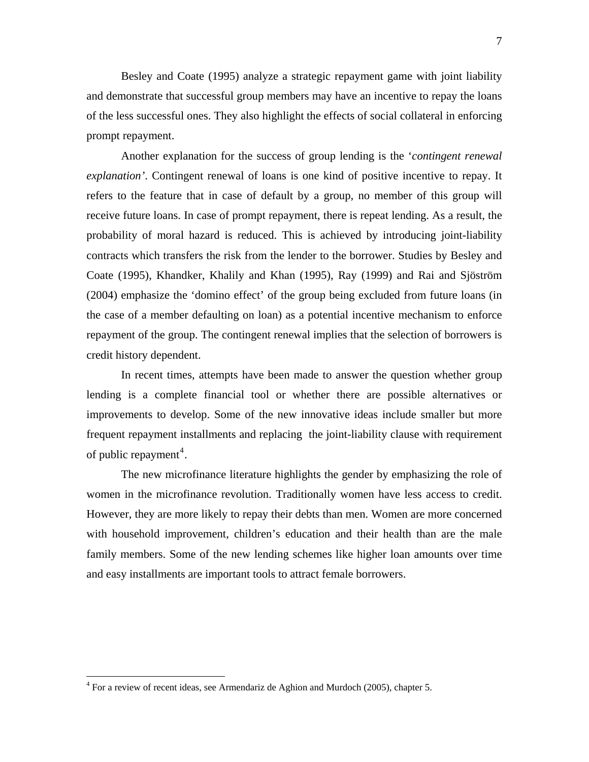Besley and Coate (1995) analyze a strategic repayment game with joint liability and demonstrate that successful group members may have an incentive to repay the loans of the less successful ones. They also highlight the effects of social collateral in enforcing prompt repayment.

Another explanation for the success of group lending is the '*contingent renewal explanation'*. Contingent renewal of loans is one kind of positive incentive to repay. It refers to the feature that in case of default by a group, no member of this group will receive future loans. In case of prompt repayment, there is repeat lending. As a result, the probability of moral hazard is reduced. This is achieved by introducing joint-liability contracts which transfers the risk from the lender to the borrower. Studies by Besley and Coate (1995), Khandker, Khalily and Khan (1995), Ray (1999) and Rai and Sjöström (2004) emphasize the 'domino effect' of the group being excluded from future loans (in the case of a member defaulting on loan) as a potential incentive mechanism to enforce repayment of the group. The contingent renewal implies that the selection of borrowers is credit history dependent.

In recent times, attempts have been made to answer the question whether group lending is a complete financial tool or whether there are possible alternatives or improvements to develop. Some of the new innovative ideas include smaller but more frequent repayment installments and replacing the joint-liability clause with requirement of public repayment<sup>[4](#page-6-0)</sup>.

The new microfinance literature highlights the gender by emphasizing the role of women in the microfinance revolution. Traditionally women have less access to credit. However, they are more likely to repay their debts than men. Women are more concerned with household improvement, children's education and their health than are the male family members. Some of the new lending schemes like higher loan amounts over time and easy installments are important tools to attract female borrowers.

<u>.</u>

<span id="page-6-0"></span> $4$  For a review of recent ideas, see Armendariz de Aghion and Murdoch (2005), chapter 5.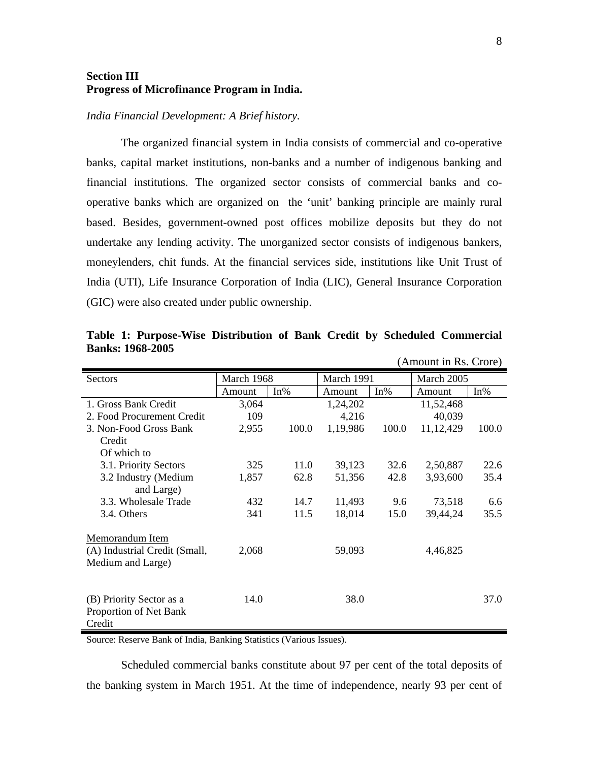# **Section III Progress of Microfinance Program in India.**

#### *India Financial Development: A Brief history.*

The organized financial system in India consists of commercial and co-operative banks, capital market institutions, non-banks and a number of indigenous banking and financial institutions. The organized sector consists of commercial banks and cooperative banks which are organized on the 'unit' banking principle are mainly rural based. Besides, government-owned post offices mobilize deposits but they do not undertake any lending activity. The unorganized sector consists of indigenous bankers, moneylenders, chit funds. At the financial services side, institutions like Unit Trust of India (UTI), Life Insurance Corporation of India (LIC), General Insurance Corporation (GIC) were also created under public ownership.

|                               |            |        |            |       | (Amount in Rs. Crore) |        |
|-------------------------------|------------|--------|------------|-------|-----------------------|--------|
| Sectors                       | March 1968 |        | March 1991 |       | March 2005            |        |
|                               | Amount     | $In\%$ | Amount     | In%   | Amount                | $In\%$ |
| 1. Gross Bank Credit          | 3,064      |        | 1,24,202   |       | 11,52,468             |        |
| 2. Food Procurement Credit    | 109        |        | 4,216      |       | 40,039                |        |
| 3. Non-Food Gross Bank        | 2,955      | 100.0  | 1,19,986   | 100.0 | 11, 12, 429           | 100.0  |
| Credit                        |            |        |            |       |                       |        |
| Of which to                   |            |        |            |       |                       |        |
| 3.1. Priority Sectors         | 325        | 11.0   | 39,123     | 32.6  | 2,50,887              | 22.6   |
| 3.2 Industry (Medium          | 1,857      | 62.8   | 51,356     | 42.8  | 3,93,600              | 35.4   |
| and Large)                    |            |        |            |       |                       |        |
| 3.3. Wholesale Trade          | 432        | 14.7   | 11,493     | 9.6   | 73,518                | 6.6    |
| 3.4. Others                   | 341        | 11.5   | 18,014     | 15.0  | 39,44,24              | 35.5   |
|                               |            |        |            |       |                       |        |
| Memorandum Item               |            |        |            |       |                       |        |
| (A) Industrial Credit (Small, | 2,068      |        | 59,093     |       | 4,46,825              |        |
| Medium and Large)             |            |        |            |       |                       |        |
|                               |            |        |            |       |                       |        |
|                               |            |        |            |       |                       |        |
| (B) Priority Sector as a      | 14.0       |        | 38.0       |       |                       | 37.0   |
| Proportion of Net Bank        |            |        |            |       |                       |        |
| Credit                        |            |        |            |       |                       |        |

**Table 1: Purpose-Wise Distribution of Bank Credit by Scheduled Commercial Banks: 1968-2005** 

Source: Reserve Bank of India, Banking Statistics (Various Issues).

Scheduled commercial banks constitute about 97 per cent of the total deposits of the banking system in March 1951. At the time of independence, nearly 93 per cent of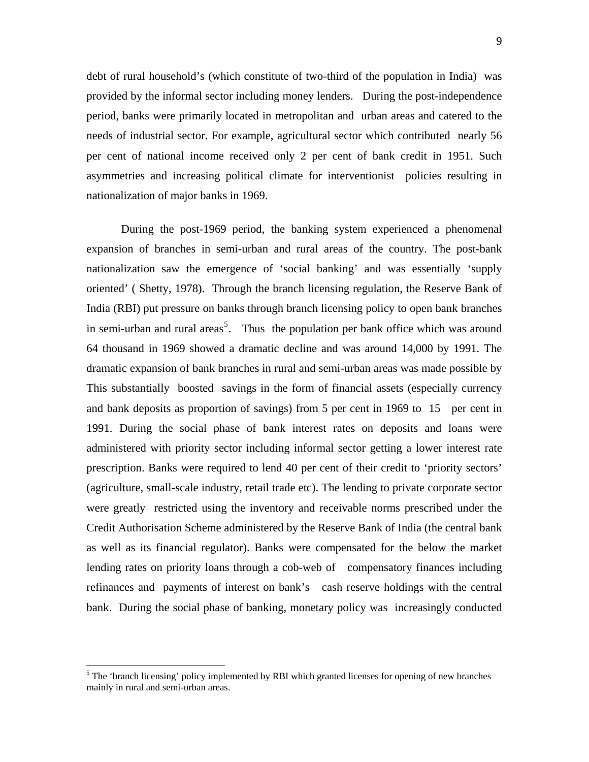9

debt of rural household's (which constitute of two-third of the population in India) was provided by the informal sector including money lenders. During the post-independence period, banks were primarily located in metropolitan and urban areas and catered to the needs of industrial sector. For example, agricultural sector which contributed nearly 56 per cent of national income received only 2 per cent of bank credit in 1951. Such asymmetries and increasing political climate for interventionist policies resulting in nationalization of major banks in 1969.

During the post-1969 period, the banking system experienced a phenomenal expansion of branches in semi-urban and rural areas of the country. The post-bank nationalization saw the emergence of 'social banking' and was essentially 'supply oriented' ( Shetty, 1978). Through the branch licensing regulation, the Reserve Bank of India (RBI) put pressure on banks through branch licensing policy to open bank branches in semi-urban and rural areas<sup>[5](#page-8-0)</sup>. Thus the population per bank office which was around 64 thousand in 1969 showed a dramatic decline and was around 14,000 by 1991. The dramatic expansion of bank branches in rural and semi-urban areas was made possible by This substantially boosted savings in the form of financial assets (especially currency and bank deposits as proportion of savings) from 5 per cent in 1969 to 15 per cent in 1991. During the social phase of bank interest rates on deposits and loans were administered with priority sector including informal sector getting a lower interest rate prescription. Banks were required to lend 40 per cent of their credit to 'priority sectors' (agriculture, small-scale industry, retail trade etc). The lending to private corporate sector were greatly restricted using the inventory and receivable norms prescribed under the Credit Authorisation Scheme administered by the Reserve Bank of India (the central bank as well as its financial regulator). Banks were compensated for the below the market lending rates on priority loans through a cob-web of compensatory finances including refinances and payments of interest on bank's cash reserve holdings with the central bank. During the social phase of banking, monetary policy was increasingly conducted

 $\overline{a}$ 

<span id="page-8-0"></span><sup>&</sup>lt;sup>5</sup> The 'branch licensing' policy implemented by RBI which granted licenses for opening of new branches mainly in rural and semi-urban areas.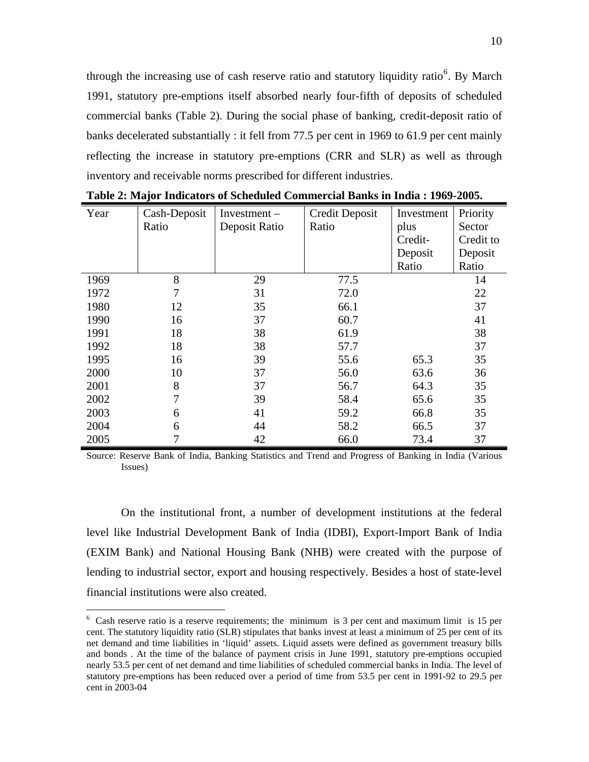through the increasing use of cash reserve ratio and statutory liquidity ratio<sup>[6](#page-9-0)</sup>. By March 1991, statutory pre-emptions itself absorbed nearly four-fifth of deposits of scheduled commercial banks (Table 2). During the social phase of banking, credit-deposit ratio of banks decelerated substantially : it fell from 77.5 per cent in 1969 to 61.9 per cent mainly reflecting the increase in statutory pre-emptions (CRR and SLR) as well as through inventory and receivable norms prescribed for different industries.

| Year | Cash-Deposit | $Investment -$ | Credit Deposit | Investment | Priority  |
|------|--------------|----------------|----------------|------------|-----------|
|      | Ratio        | Deposit Ratio  | Ratio          | plus       | Sector    |
|      |              |                |                | Credit-    | Credit to |
|      |              |                |                | Deposit    | Deposit   |
|      |              |                |                | Ratio      | Ratio     |
| 1969 | 8            | 29             | 77.5           |            | 14        |
| 1972 | 7            | 31             | 72.0           |            | 22        |
| 1980 | 12           | 35             | 66.1           |            | 37        |
| 1990 | 16           | 37             | 60.7           |            | 41        |
| 1991 | 18           | 38             | 61.9           |            | 38        |
| 1992 | 18           | 38             | 57.7           |            | 37        |
| 1995 | 16           | 39             | 55.6           | 65.3       | 35        |
| 2000 | 10           | 37             | 56.0           | 63.6       | 36        |
| 2001 | 8            | 37             | 56.7           | 64.3       | 35        |
| 2002 | 7            | 39             | 58.4           | 65.6       | 35        |
| 2003 | 6            | 41             | 59.2           | 66.8       | 35        |
| 2004 | 6            | 44             | 58.2           | 66.5       | 37        |
| 2005 | 7            | 42             | 66.0           | 73.4       | 37        |

**Table 2: Major Indicators of Scheduled Commercial Banks in India : 1969-2005.** 

Source: Reserve Bank of India, Banking Statistics and Trend and Progress of Banking in India (Various Issues)

On the institutional front, a number of development institutions at the federal level like Industrial Development Bank of India (IDBI), Export-Import Bank of India (EXIM Bank) and National Housing Bank (NHB) were created with the purpose of lending to industrial sector, export and housing respectively. Besides a host of state-level financial institutions were also created.

 $\overline{a}$ 

<span id="page-9-0"></span> $6$  Cash reserve ratio is a reserve requirements; the minimum is 3 per cent and maximum limit is 15 per cent. The statutory liquidity ratio (SLR) stipulates that banks invest at least a minimum of 25 per cent of its net demand and time liabilities in 'liquid' assets. Liquid assets were defined as government treasury bills and bonds . At the time of the balance of payment crisis in June 1991, statutory pre-emptions occupied nearly 53.5 per cent of net demand and time liabilities of scheduled commercial banks in India. The level of statutory pre-emptions has been reduced over a period of time from 53.5 per cent in 1991-92 to 29.5 per cent in 2003-04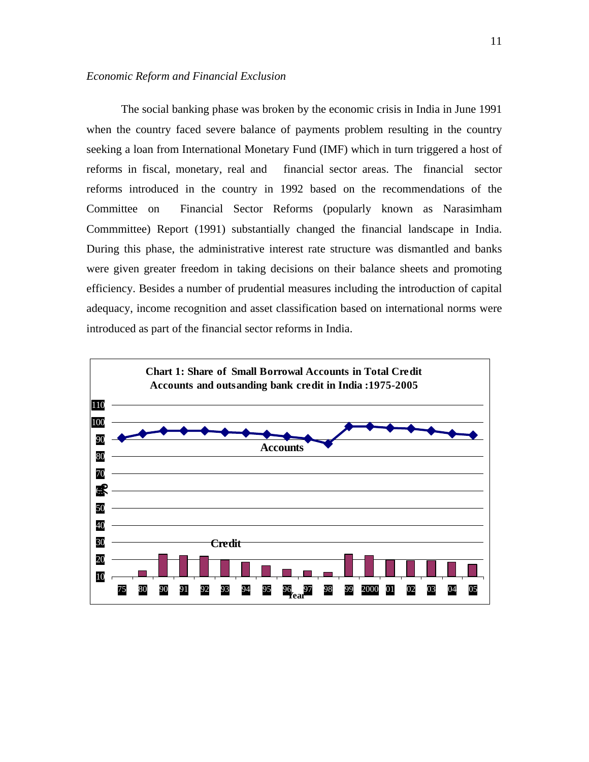#### *Economic Reform and Financial Exclusion*

The social banking phase was broken by the economic crisis in India in June 1991 when the country faced severe balance of payments problem resulting in the country seeking a loan from International Monetary Fund (IMF) which in turn triggered a host of reforms in fiscal, monetary, real and financial sector areas. The financial sector reforms introduced in the country in 1992 based on the recommendations of the Committee on Financial Sector Reforms (popularly known as Narasimham Commmittee) Report (1991) substantially changed the financial landscape in India. During this phase, the administrative interest rate structure was dismantled and banks were given greater freedom in taking decisions on their balance sheets and promoting efficiency. Besides a number of prudential measures including the introduction of capital adequacy, income recognition and asset classification based on international norms were introduced as part of the financial sector reforms in India.

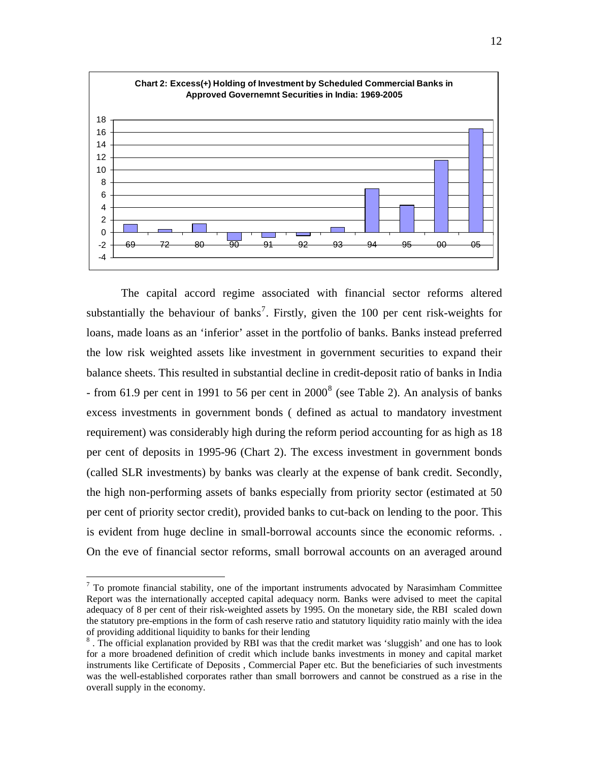

The capital accord regime associated with financial sector reforms altered substantially the behaviour of banks<sup>[7](#page-11-0)</sup>. Firstly, given the 100 per cent risk-weights for loans, made loans as an 'inferior' asset in the portfolio of banks. Banks instead preferred the low risk weighted assets like investment in government securities to expand their balance sheets. This resulted in substantial decline in credit-deposit ratio of banks in India - from 61.9 per cent in 1991 to 56 per cent in  $2000<sup>8</sup>$  $2000<sup>8</sup>$  $2000<sup>8</sup>$  (see Table 2). An analysis of banks excess investments in government bonds ( defined as actual to mandatory investment requirement) was considerably high during the reform period accounting for as high as 18 per cent of deposits in 1995-96 (Chart 2). The excess investment in government bonds (called SLR investments) by banks was clearly at the expense of bank credit. Secondly, the high non-performing assets of banks especially from priority sector (estimated at 50 per cent of priority sector credit), provided banks to cut-back on lending to the poor. This is evident from huge decline in small-borrowal accounts since the economic reforms. . On the eve of financial sector reforms, small borrowal accounts on an averaged around

 $\overline{a}$ 

<span id="page-11-0"></span> $<sup>7</sup>$  To promote financial stability, one of the important instruments advocated by Narasimham Committee</sup> Report was the internationally accepted capital adequacy norm. Banks were advised to meet the capital adequacy of 8 per cent of their risk-weighted assets by 1995. On the monetary side, the RBI scaled down the statutory pre-emptions in the form of cash reserve ratio and statutory liquidity ratio mainly with the idea of providing additional liquidity to banks for their lending

<span id="page-11-1"></span><sup>&</sup>lt;sup>8</sup>. The official explanation provided by RBI was that the credit market was 'sluggish' and one has to look for a more broadened definition of credit which include banks investments in money and capital market instruments like Certificate of Deposits , Commercial Paper etc. But the beneficiaries of such investments was the well-established corporates rather than small borrowers and cannot be construed as a rise in the overall supply in the economy.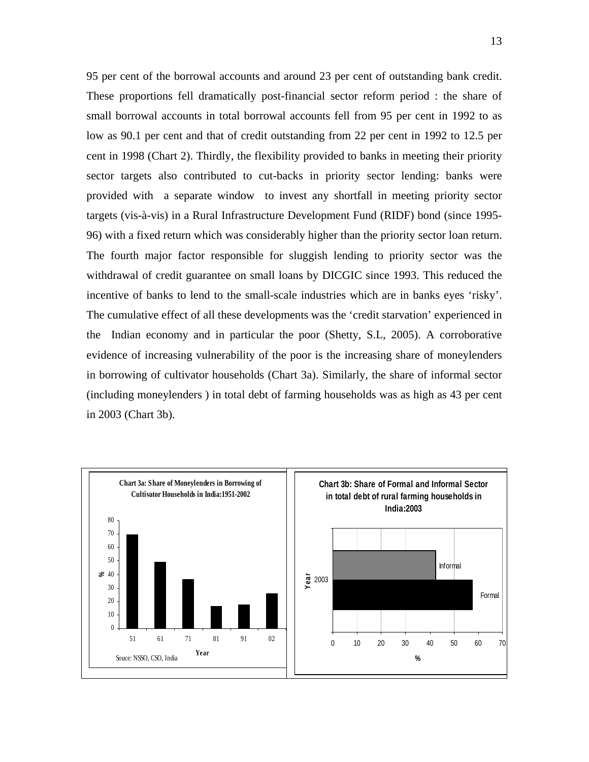95 per cent of the borrowal accounts and around 23 per cent of outstanding bank credit. These proportions fell dramatically post-financial sector reform period : the share of small borrowal accounts in total borrowal accounts fell from 95 per cent in 1992 to as low as 90.1 per cent and that of credit outstanding from 22 per cent in 1992 to 12.5 per cent in 1998 (Chart 2). Thirdly, the flexibility provided to banks in meeting their priority sector targets also contributed to cut-backs in priority sector lending: banks were provided with a separate window to invest any shortfall in meeting priority sector targets (vis-à-vis) in a Rural Infrastructure Development Fund (RIDF) bond (since 1995- 96) with a fixed return which was considerably higher than the priority sector loan return. The fourth major factor responsible for sluggish lending to priority sector was the withdrawal of credit guarantee on small loans by DICGIC since 1993. This reduced the incentive of banks to lend to the small-scale industries which are in banks eyes 'risky'. The cumulative effect of all these developments was the 'credit starvation' experienced in the Indian economy and in particular the poor (Shetty, S.L, 2005). A corroborative evidence of increasing vulnerability of the poor is the increasing share of moneylenders in borrowing of cultivator households (Chart 3a). Similarly, the share of informal sector (including moneylenders ) in total debt of farming households was as high as 43 per cent in 2003 (Chart 3b).

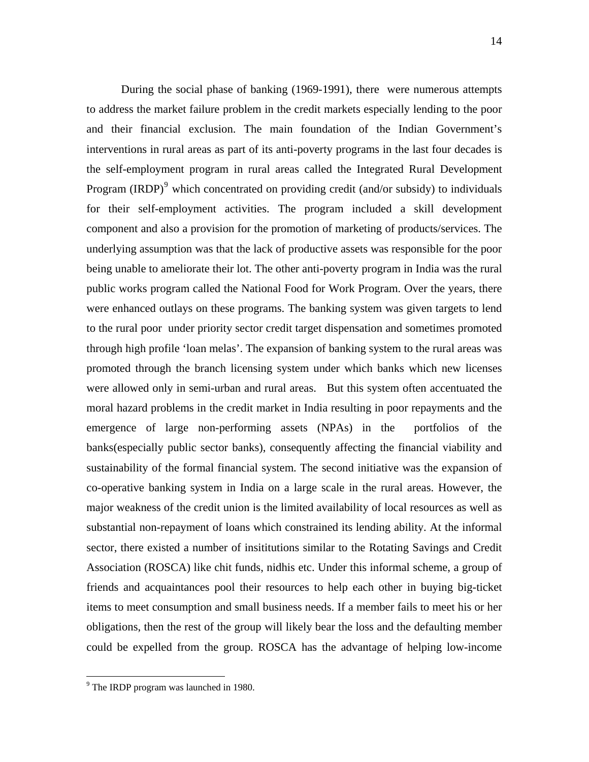During the social phase of banking (1969-1991), there were numerous attempts to address the market failure problem in the credit markets especially lending to the poor and their financial exclusion. The main foundation of the Indian Government's interventions in rural areas as part of its anti-poverty programs in the last four decades is the self-employment program in rural areas called the Integrated Rural Development Program (IRDP)<sup>[9](#page-13-0)</sup> which concentrated on providing credit (and/or subsidy) to individuals for their self-employment activities. The program included a skill development component and also a provision for the promotion of marketing of products/services. The underlying assumption was that the lack of productive assets was responsible for the poor being unable to ameliorate their lot. The other anti-poverty program in India was the rural public works program called the National Food for Work Program. Over the years, there were enhanced outlays on these programs. The banking system was given targets to lend to the rural poor under priority sector credit target dispensation and sometimes promoted through high profile 'loan melas'. The expansion of banking system to the rural areas was promoted through the branch licensing system under which banks which new licenses were allowed only in semi-urban and rural areas. But this system often accentuated the moral hazard problems in the credit market in India resulting in poor repayments and the emergence of large non-performing assets (NPAs) in the portfolios of the banks(especially public sector banks), consequently affecting the financial viability and sustainability of the formal financial system. The second initiative was the expansion of co-operative banking system in India on a large scale in the rural areas. However, the major weakness of the credit union is the limited availability of local resources as well as substantial non-repayment of loans which constrained its lending ability. At the informal sector, there existed a number of insititutions similar to the Rotating Savings and Credit Association (ROSCA) like chit funds, nidhis etc. Under this informal scheme, a group of friends and acquaintances pool their resources to help each other in buying big-ticket items to meet consumption and small business needs. If a member fails to meet his or her obligations, then the rest of the group will likely bear the loss and the defaulting member could be expelled from the group. ROSCA has the advantage of helping low-income

 $\overline{a}$ 

<span id="page-13-0"></span><sup>&</sup>lt;sup>9</sup> The IRDP program was launched in 1980.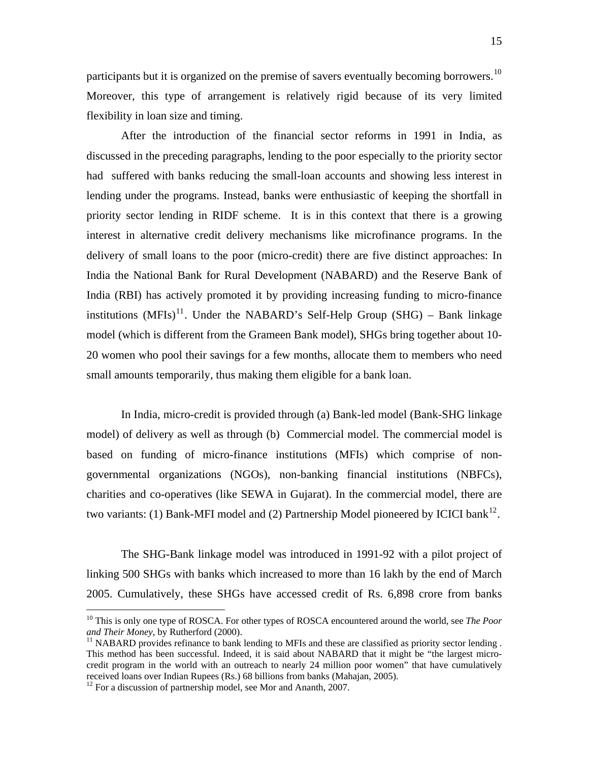participants but it is organized on the premise of savers eventually becoming borrowers.<sup>[10](#page-14-0)</sup> Moreover, this type of arrangement is relatively rigid because of its very limited flexibility in loan size and timing.

After the introduction of the financial sector reforms in 1991 in India, as discussed in the preceding paragraphs, lending to the poor especially to the priority sector had suffered with banks reducing the small-loan accounts and showing less interest in lending under the programs. Instead, banks were enthusiastic of keeping the shortfall in priority sector lending in RIDF scheme. It is in this context that there is a growing interest in alternative credit delivery mechanisms like microfinance programs. In the delivery of small loans to the poor (micro-credit) there are five distinct approaches: In India the National Bank for Rural Development (NABARD) and the Reserve Bank of India (RBI) has actively promoted it by providing increasing funding to micro-finance institutions (MFIs)<sup>[11](#page-14-1)</sup>. Under the NABARD's Self-Help Group (SHG) – Bank linkage model (which is different from the Grameen Bank model), SHGs bring together about 10- 20 women who pool their savings for a few months, allocate them to members who need small amounts temporarily, thus making them eligible for a bank loan.

In India, micro-credit is provided through (a) Bank-led model (Bank-SHG linkage model) of delivery as well as through (b) Commercial model. The commercial model is based on funding of micro-finance institutions (MFIs) which comprise of nongovernmental organizations (NGOs), non-banking financial institutions (NBFCs), charities and co-operatives (like SEWA in Gujarat). In the commercial model, there are two variants: (1) Bank-MFI model and (2) Partnership Model pioneered by ICICI bank<sup>[12](#page-14-2)</sup>.

The SHG-Bank linkage model was introduced in 1991-92 with a pilot project of linking 500 SHGs with banks which increased to more than 16 lakh by the end of March 2005. Cumulatively, these SHGs have accessed credit of Rs. 6,898 crore from banks

 $\overline{a}$ 

<span id="page-14-0"></span><sup>10</sup> This is only one type of ROSCA. For other types of ROSCA encountered around the world, see *The Poor and Their Money*, by Rutherford (2000).<br><sup>11</sup> NABARD provides refinance to bank lending to MFIs and these are classified as priority sector lending .

<span id="page-14-1"></span>This method has been successful. Indeed, it is said about NABARD that it might be "the largest microcredit program in the world with an outreach to nearly 24 million poor women" that have cumulatively received loans over Indian Rupees (Rs.) 68 billions from banks (Mahajan, 2005). 12 For a discussion of partnership model, see Mor and Ananth, 2007.

<span id="page-14-2"></span>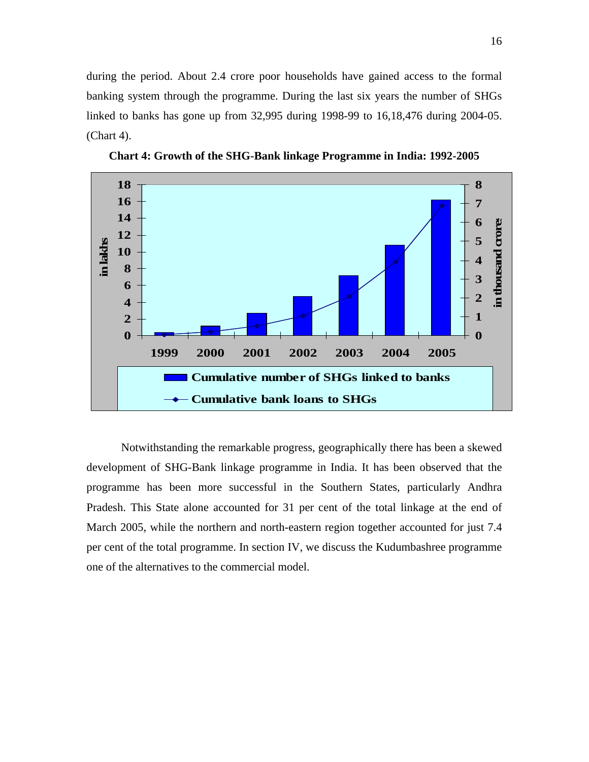during the period. About 2.4 crore poor households have gained access to the formal banking system through the programme. During the last six years the number of SHGs linked to banks has gone up from 32,995 during 1998-99 to 16,18,476 during 2004-05. (Chart 4).



**Chart 4: Growth of the SHG-Bank linkage Programme in India: 1992-2005** 

Notwithstanding the remarkable progress, geographically there has been a skewed development of SHG-Bank linkage programme in India. It has been observed that the programme has been more successful in the Southern States, particularly Andhra Pradesh. This State alone accounted for 31 per cent of the total linkage at the end of March 2005, while the northern and north-eastern region together accounted for just 7.4 per cent of the total programme. In section IV, we discuss the Kudumbashree programme one of the alternatives to the commercial model.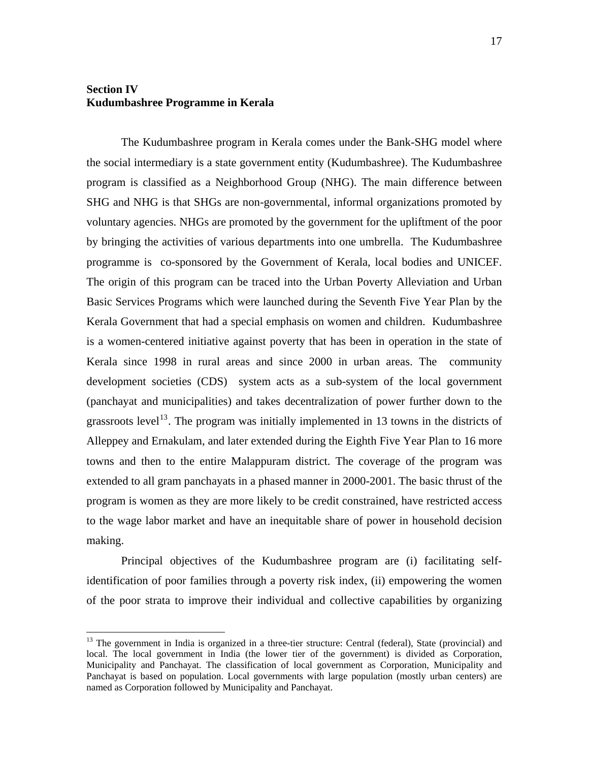# **Section IV Kudumbashree Programme in Kerala**

 $\overline{a}$ 

The Kudumbashree program in Kerala comes under the Bank-SHG model where the social intermediary is a state government entity (Kudumbashree). The Kudumbashree program is classified as a Neighborhood Group (NHG). The main difference between SHG and NHG is that SHGs are non-governmental, informal organizations promoted by voluntary agencies. NHGs are promoted by the government for the upliftment of the poor by bringing the activities of various departments into one umbrella. The Kudumbashree programme is co-sponsored by the Government of Kerala, local bodies and UNICEF. The origin of this program can be traced into the Urban Poverty Alleviation and Urban Basic Services Programs which were launched during the Seventh Five Year Plan by the Kerala Government that had a special emphasis on women and children. Kudumbashree is a women-centered initiative against poverty that has been in operation in the state of Kerala since 1998 in rural areas and since 2000 in urban areas. The community development societies (CDS) system acts as a sub-system of the local government (panchayat and municipalities) and takes decentralization of power further down to the grassroots level<sup>[13](#page-16-0)</sup>. The program was initially implemented in 13 towns in the districts of Alleppey and Ernakulam, and later extended during the Eighth Five Year Plan to 16 more towns and then to the entire Malappuram district. The coverage of the program was extended to all gram panchayats in a phased manner in 2000-2001. The basic thrust of the program is women as they are more likely to be credit constrained, have restricted access to the wage labor market and have an inequitable share of power in household decision making.

Principal objectives of the Kudumbashree program are (i) facilitating selfidentification of poor families through a poverty risk index, (ii) empowering the women of the poor strata to improve their individual and collective capabilities by organizing

<span id="page-16-0"></span><sup>&</sup>lt;sup>13</sup> The government in India is organized in a three-tier structure: Central (federal), State (provincial) and local. The local government in India (the lower tier of the government) is divided as Corporation, Municipality and Panchayat. The classification of local government as Corporation, Municipality and Panchayat is based on population. Local governments with large population (mostly urban centers) are named as Corporation followed by Municipality and Panchayat.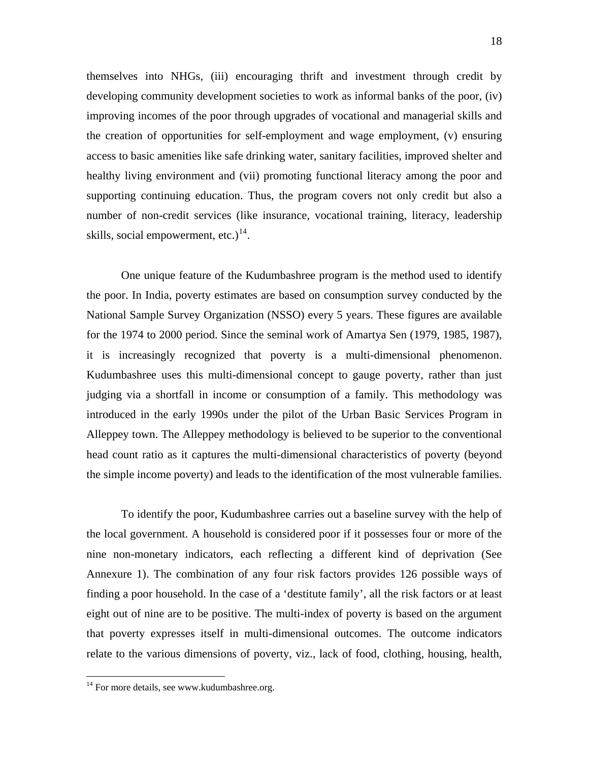themselves into NHGs, (iii) encouraging thrift and investment through credit by developing community development societies to work as informal banks of the poor, (iv) improving incomes of the poor through upgrades of vocational and managerial skills and the creation of opportunities for self-employment and wage employment, (v) ensuring access to basic amenities like safe drinking water, sanitary facilities, improved shelter and healthy living environment and (vii) promoting functional literacy among the poor and supporting continuing education. Thus, the program covers not only credit but also a number of non-credit services (like insurance, vocational training, literacy, leadership skills, social empowerment, etc.) $^{14}$  $^{14}$  $^{14}$ .

One unique feature of the Kudumbashree program is the method used to identify the poor. In India, poverty estimates are based on consumption survey conducted by the National Sample Survey Organization (NSSO) every 5 years. These figures are available for the 1974 to 2000 period. Since the seminal work of Amartya Sen (1979, 1985, 1987), it is increasingly recognized that poverty is a multi-dimensional phenomenon. Kudumbashree uses this multi-dimensional concept to gauge poverty, rather than just judging via a shortfall in income or consumption of a family. This methodology was introduced in the early 1990s under the pilot of the Urban Basic Services Program in Alleppey town. The Alleppey methodology is believed to be superior to the conventional head count ratio as it captures the multi-dimensional characteristics of poverty (beyond the simple income poverty) and leads to the identification of the most vulnerable families.

To identify the poor, Kudumbashree carries out a baseline survey with the help of the local government. A household is considered poor if it possesses four or more of the nine non-monetary indicators, each reflecting a different kind of deprivation (See Annexure 1). The combination of any four risk factors provides 126 possible ways of finding a poor household. In the case of a 'destitute family', all the risk factors or at least eight out of nine are to be positive. The multi-index of poverty is based on the argument that poverty expresses itself in multi-dimensional outcomes. The outcome indicators relate to the various dimensions of poverty, viz., lack of food, clothing, housing, health,

 $\overline{a}$ 

<span id="page-17-0"></span><sup>&</sup>lt;sup>14</sup> For more details, see www.kudumbashree.org.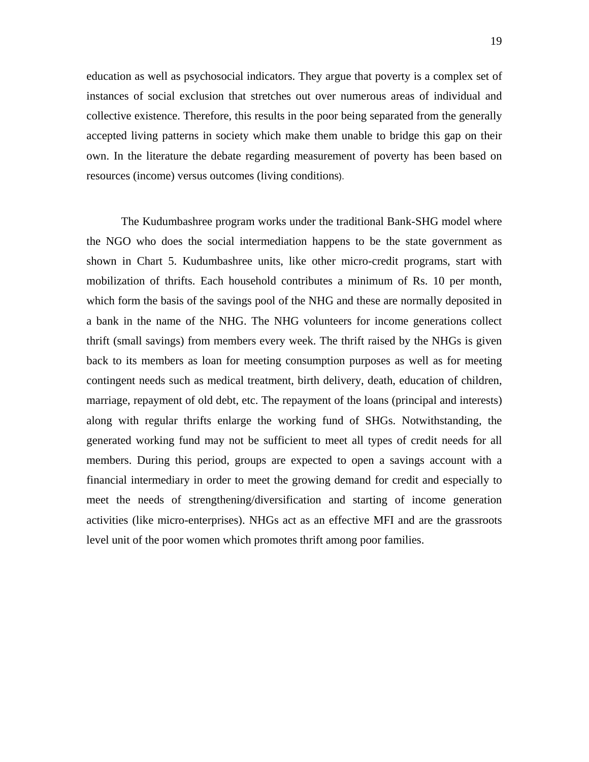education as well as psychosocial indicators. They argue that poverty is a complex set of instances of social exclusion that stretches out over numerous areas of individual and collective existence. Therefore, this results in the poor being separated from the generally accepted living patterns in society which make them unable to bridge this gap on their own. In the literature the debate regarding measurement of poverty has been based on resources (income) versus outcomes (living conditions).

The Kudumbashree program works under the traditional Bank-SHG model where the NGO who does the social intermediation happens to be the state government as shown in Chart 5. Kudumbashree units, like other micro-credit programs, start with mobilization of thrifts. Each household contributes a minimum of Rs. 10 per month, which form the basis of the savings pool of the NHG and these are normally deposited in a bank in the name of the NHG. The NHG volunteers for income generations collect thrift (small savings) from members every week. The thrift raised by the NHGs is given back to its members as loan for meeting consumption purposes as well as for meeting contingent needs such as medical treatment, birth delivery, death, education of children, marriage, repayment of old debt, etc. The repayment of the loans (principal and interests) along with regular thrifts enlarge the working fund of SHGs. Notwithstanding, the generated working fund may not be sufficient to meet all types of credit needs for all members. During this period, groups are expected to open a savings account with a financial intermediary in order to meet the growing demand for credit and especially to meet the needs of strengthening/diversification and starting of income generation activities (like micro-enterprises). NHGs act as an effective MFI and are the grassroots level unit of the poor women which promotes thrift among poor families.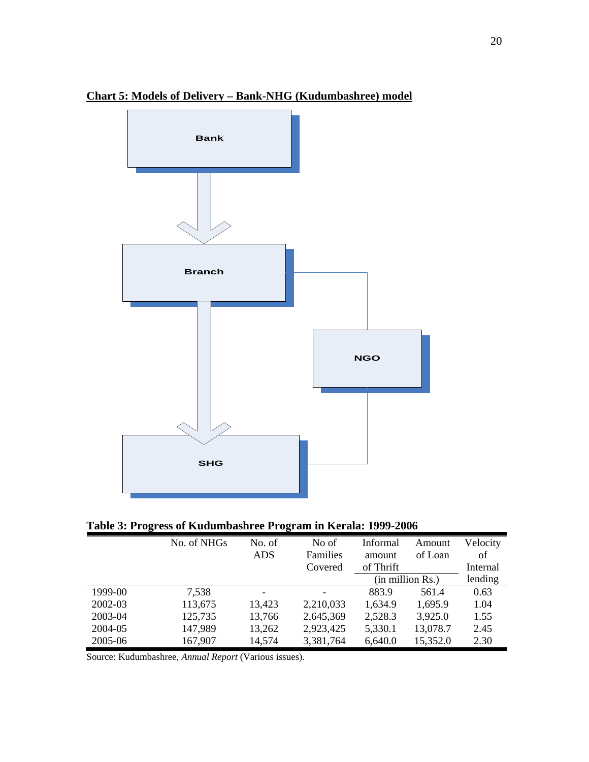

# **Chart 5: Models of Delivery – Bank-NHG (Kudumbashree) model**

**Table 3: Progress of Kudumbashree Program in Kerala: 1999-2006** 

|         | No. of NHGs | No. of                   | No of     | Informal  | Amount                | Velocity |
|---------|-------------|--------------------------|-----------|-----------|-----------------------|----------|
|         |             | <b>ADS</b>               | Families  | amount    | of Loan               | of       |
|         |             |                          | Covered   | of Thrift |                       | Internal |
|         |             |                          |           |           | $(in$ million $Rs.$ ) | lending  |
| 1999-00 | 7,538       | $\overline{\phantom{a}}$ |           | 883.9     | 561.4                 | 0.63     |
| 2002-03 | 113,675     | 13,423                   | 2,210,033 | 1,634.9   | 1,695.9               | 1.04     |
| 2003-04 | 125,735     | 13,766                   | 2,645,369 | 2,528.3   | 3,925.0               | 1.55     |
| 2004-05 | 147,989     | 13,262                   | 2,923,425 | 5,330.1   | 13,078.7              | 2.45     |
| 2005-06 | 167,907     | 14,574                   | 3,381,764 | 6,640.0   | 15,352.0              | 2.30     |

Source: Kudumbashree, *Annual Report* (Various issues).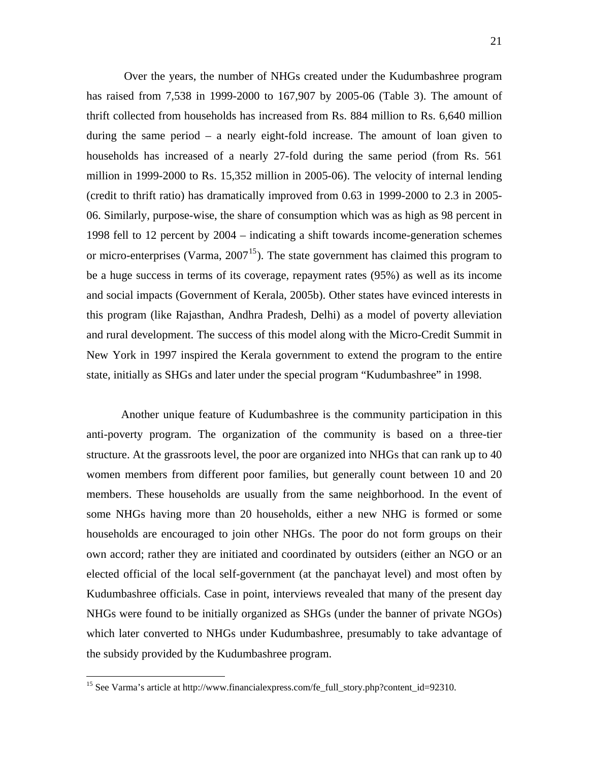Over the years, the number of NHGs created under the Kudumbashree program has raised from 7,538 in 1999-2000 to 167,907 by 2005-06 (Table 3). The amount of thrift collected from households has increased from Rs. 884 million to Rs. 6,640 million during the same period – a nearly eight-fold increase. The amount of loan given to households has increased of a nearly 27-fold during the same period (from Rs. 561 million in 1999-2000 to Rs. 15,352 million in 2005-06). The velocity of internal lending (credit to thrift ratio) has dramatically improved from 0.63 in 1999-2000 to 2.3 in 2005- 06. Similarly, purpose-wise, the share of consumption which was as high as 98 percent in 1998 fell to 12 percent by 2004 – indicating a shift towards income-generation schemes or micro-enterprises (Varma,  $2007^{15}$  $2007^{15}$  $2007^{15}$ ). The state government has claimed this program to be a huge success in terms of its coverage, repayment rates (95%) as well as its income and social impacts (Government of Kerala, 2005b). Other states have evinced interests in this program (like Rajasthan, Andhra Pradesh, Delhi) as a model of poverty alleviation and rural development. The success of this model along with the Micro-Credit Summit in New York in 1997 inspired the Kerala government to extend the program to the entire state, initially as SHGs and later under the special program "Kudumbashree" in 1998.

Another unique feature of Kudumbashree is the community participation in this anti-poverty program. The organization of the community is based on a three-tier structure. At the grassroots level, the poor are organized into NHGs that can rank up to 40 women members from different poor families, but generally count between 10 and 20 members. These households are usually from the same neighborhood. In the event of some NHGs having more than 20 households, either a new NHG is formed or some households are encouraged to join other NHGs. The poor do not form groups on their own accord; rather they are initiated and coordinated by outsiders (either an NGO or an elected official of the local self-government (at the panchayat level) and most often by Kudumbashree officials. Case in point, interviews revealed that many of the present day NHGs were found to be initially organized as SHGs (under the banner of private NGOs) which later converted to NHGs under Kudumbashree, presumably to take advantage of the subsidy provided by the Kudumbashree program.

<u>.</u>

<span id="page-20-0"></span><sup>&</sup>lt;sup>15</sup> See Varma's article at http://www.financialexpress.com/fe\_full\_story.php?content\_id=92310.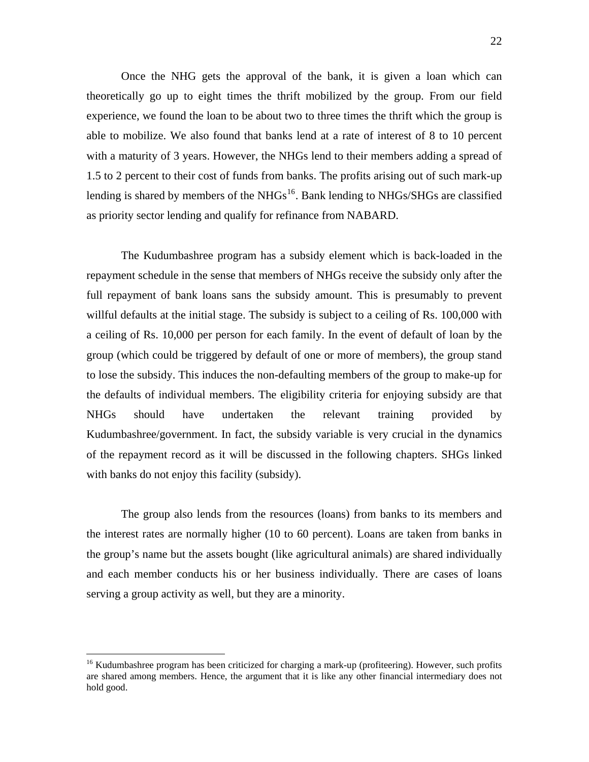Once the NHG gets the approval of the bank, it is given a loan which can theoretically go up to eight times the thrift mobilized by the group. From our field experience, we found the loan to be about two to three times the thrift which the group is able to mobilize. We also found that banks lend at a rate of interest of 8 to 10 percent with a maturity of 3 years. However, the NHGs lend to their members adding a spread of 1.5 to 2 percent to their cost of funds from banks. The profits arising out of such mark-up lending is shared by members of the NHGs<sup>[16](#page-21-0)</sup>. Bank lending to NHGs/SHGs are classified as priority sector lending and qualify for refinance from NABARD.

The Kudumbashree program has a subsidy element which is back-loaded in the repayment schedule in the sense that members of NHGs receive the subsidy only after the full repayment of bank loans sans the subsidy amount. This is presumably to prevent willful defaults at the initial stage. The subsidy is subject to a ceiling of Rs. 100,000 with a ceiling of Rs. 10,000 per person for each family. In the event of default of loan by the group (which could be triggered by default of one or more of members), the group stand to lose the subsidy. This induces the non-defaulting members of the group to make-up for the defaults of individual members. The eligibility criteria for enjoying subsidy are that NHGs should have undertaken the relevant training provided by Kudumbashree/government. In fact, the subsidy variable is very crucial in the dynamics of the repayment record as it will be discussed in the following chapters. SHGs linked with banks do not enjoy this facility (subsidy).

The group also lends from the resources (loans) from banks to its members and the interest rates are normally higher (10 to 60 percent). Loans are taken from banks in the group's name but the assets bought (like agricultural animals) are shared individually and each member conducts his or her business individually. There are cases of loans serving a group activity as well, but they are a minority.

 $\overline{a}$ 

<span id="page-21-0"></span><sup>&</sup>lt;sup>16</sup> Kudumbashree program has been criticized for charging a mark-up (profiteering). However, such profits are shared among members. Hence, the argument that it is like any other financial intermediary does not hold good.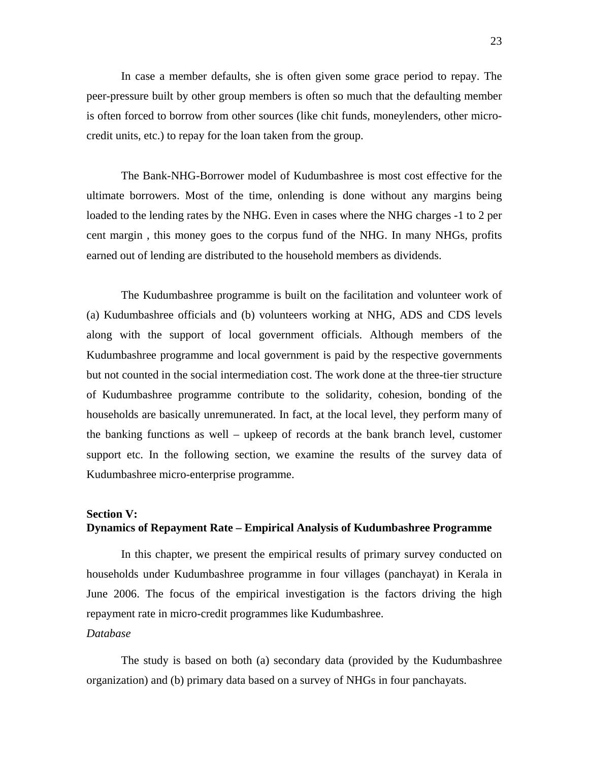In case a member defaults, she is often given some grace period to repay. The peer-pressure built by other group members is often so much that the defaulting member is often forced to borrow from other sources (like chit funds, moneylenders, other microcredit units, etc.) to repay for the loan taken from the group.

The Bank-NHG-Borrower model of Kudumbashree is most cost effective for the ultimate borrowers. Most of the time, onlending is done without any margins being loaded to the lending rates by the NHG. Even in cases where the NHG charges -1 to 2 per cent margin , this money goes to the corpus fund of the NHG. In many NHGs, profits earned out of lending are distributed to the household members as dividends.

The Kudumbashree programme is built on the facilitation and volunteer work of (a) Kudumbashree officials and (b) volunteers working at NHG, ADS and CDS levels along with the support of local government officials. Although members of the Kudumbashree programme and local government is paid by the respective governments but not counted in the social intermediation cost. The work done at the three-tier structure of Kudumbashree programme contribute to the solidarity, cohesion, bonding of the households are basically unremunerated. In fact, at the local level, they perform many of the banking functions as well – upkeep of records at the bank branch level, customer support etc. In the following section, we examine the results of the survey data of Kudumbashree micro-enterprise programme.

# **Section V: Dynamics of Repayment Rate – Empirical Analysis of Kudumbashree Programme**

In this chapter, we present the empirical results of primary survey conducted on households under Kudumbashree programme in four villages (panchayat) in Kerala in June 2006. The focus of the empirical investigation is the factors driving the high repayment rate in micro-credit programmes like Kudumbashree.

#### *Database*

The study is based on both (a) secondary data (provided by the Kudumbashree organization) and (b) primary data based on a survey of NHGs in four panchayats.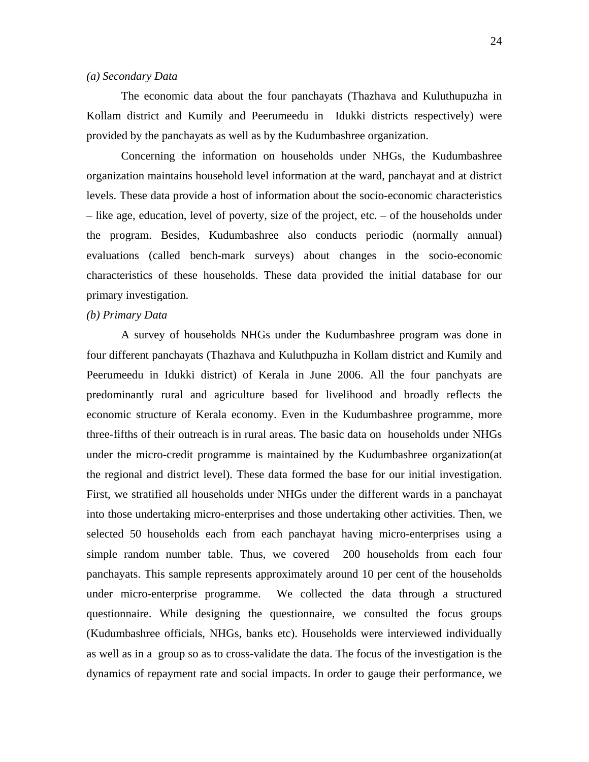#### *(a) Secondary Data*

The economic data about the four panchayats (Thazhava and Kuluthupuzha in Kollam district and Kumily and Peerumeedu in Idukki districts respectively) were provided by the panchayats as well as by the Kudumbashree organization.

Concerning the information on households under NHGs, the Kudumbashree organization maintains household level information at the ward, panchayat and at district levels. These data provide a host of information about the socio-economic characteristics – like age, education, level of poverty, size of the project, etc. – of the households under the program. Besides, Kudumbashree also conducts periodic (normally annual) evaluations (called bench-mark surveys) about changes in the socio-economic characteristics of these households. These data provided the initial database for our primary investigation.

#### *(b) Primary Data*

A survey of households NHGs under the Kudumbashree program was done in four different panchayats (Thazhava and Kuluthpuzha in Kollam district and Kumily and Peerumeedu in Idukki district) of Kerala in June 2006. All the four panchyats are predominantly rural and agriculture based for livelihood and broadly reflects the economic structure of Kerala economy. Even in the Kudumbashree programme, more three-fifths of their outreach is in rural areas. The basic data on households under NHGs under the micro-credit programme is maintained by the Kudumbashree organization(at the regional and district level). These data formed the base for our initial investigation. First, we stratified all households under NHGs under the different wards in a panchayat into those undertaking micro-enterprises and those undertaking other activities. Then, we selected 50 households each from each panchayat having micro-enterprises using a simple random number table. Thus, we covered 200 households from each four panchayats. This sample represents approximately around 10 per cent of the households under micro-enterprise programme. We collected the data through a structured questionnaire. While designing the questionnaire, we consulted the focus groups (Kudumbashree officials, NHGs, banks etc). Households were interviewed individually as well as in a group so as to cross-validate the data. The focus of the investigation is the dynamics of repayment rate and social impacts. In order to gauge their performance, we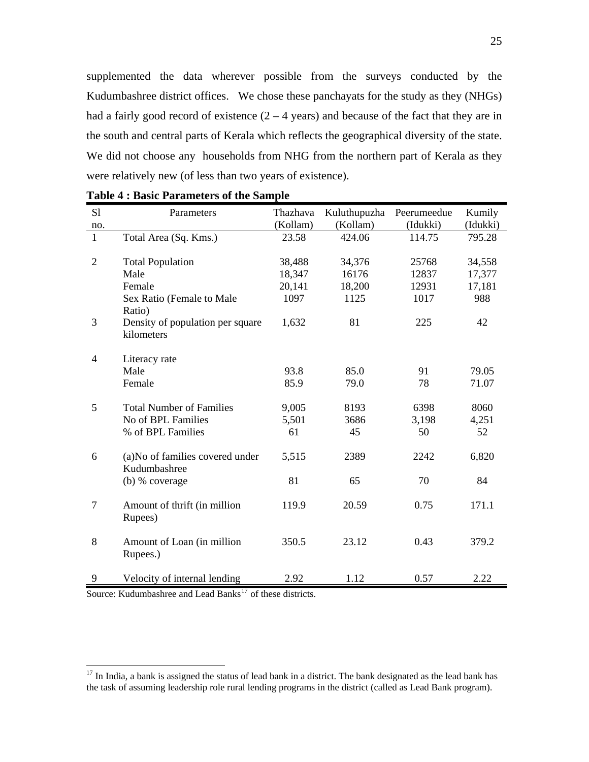supplemented the data wherever possible from the surveys conducted by the Kudumbashree district offices. We chose these panchayats for the study as they (NHGs) had a fairly good record of existence  $(2 - 4$  years) and because of the fact that they are in the south and central parts of Kerala which reflects the geographical diversity of the state. We did not choose any households from NHG from the northern part of Kerala as they were relatively new (of less than two years of existence).

| S1             | Parameters                                       | Thazhava | Kuluthupuzha | Peerumeedue | Kumily   |
|----------------|--------------------------------------------------|----------|--------------|-------------|----------|
| no.            |                                                  | (Kollam) | (Kollam)     | (Idukki)    | (Idukki) |
| $\mathbf{1}$   | Total Area (Sq. Kms.)                            | 23.58    | 424.06       | 114.75      | 795.28   |
| $\overline{2}$ | <b>Total Population</b>                          | 38,488   | 34,376       | 25768       | 34,558   |
|                | Male                                             | 18,347   | 16176        | 12837       | 17,377   |
|                | Female                                           | 20,141   | 18,200       | 12931       | 17,181   |
|                | Sex Ratio (Female to Male<br>Ratio)              | 1097     | 1125         | 1017        | 988      |
| 3              | Density of population per square<br>kilometers   | 1,632    | 81           | 225         | 42       |
| $\overline{4}$ | Literacy rate                                    |          |              |             |          |
|                | Male                                             | 93.8     | 85.0         | 91          | 79.05    |
|                | Female                                           | 85.9     | 79.0         | 78          | 71.07    |
| 5              | <b>Total Number of Families</b>                  | 9,005    | 8193         | 6398        | 8060     |
|                | No of BPL Families                               | 5,501    | 3686         | 3,198       | 4,251    |
|                | % of BPL Families                                | 61       | 45           | 50          | 52       |
| 6              | (a) No of families covered under<br>Kudumbashree | 5,515    | 2389         | 2242        | 6,820    |
|                | (b) % coverage                                   | 81       | 65           | 70          | 84       |
| $\tau$         | Amount of thrift (in million<br>Rupees)          | 119.9    | 20.59        | 0.75        | 171.1    |
| 8              | Amount of Loan (in million<br>Rupees.)           | 350.5    | 23.12        | 0.43        | 379.2    |
| 9              | Velocity of internal lending                     | 2.92     | 1.12         | 0.57        | 2.22     |

|  |  | <b>Table 4 : Basic Parameters of the Sample</b> |  |  |  |
|--|--|-------------------------------------------------|--|--|--|
|--|--|-------------------------------------------------|--|--|--|

Source: Kudumbashree and Lead Banks<sup>[17](#page-24-0)</sup> of these districts.

1

<span id="page-24-0"></span> $17$  In India, a bank is assigned the status of lead bank in a district. The bank designated as the lead bank has the task of assuming leadership role rural lending programs in the district (called as Lead Bank program).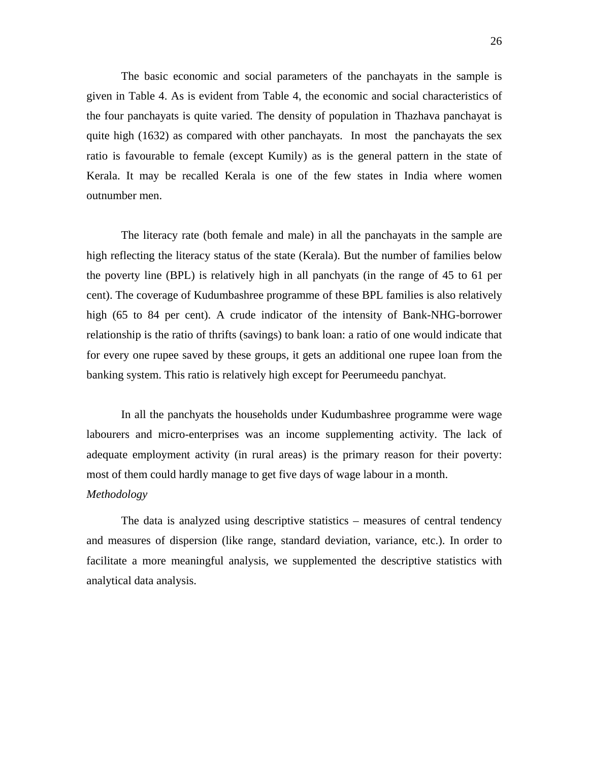The basic economic and social parameters of the panchayats in the sample is given in Table 4. As is evident from Table 4, the economic and social characteristics of the four panchayats is quite varied. The density of population in Thazhava panchayat is quite high (1632) as compared with other panchayats. In most the panchayats the sex ratio is favourable to female (except Kumily) as is the general pattern in the state of Kerala. It may be recalled Kerala is one of the few states in India where women outnumber men.

The literacy rate (both female and male) in all the panchayats in the sample are high reflecting the literacy status of the state (Kerala). But the number of families below the poverty line (BPL) is relatively high in all panchyats (in the range of 45 to 61 per cent). The coverage of Kudumbashree programme of these BPL families is also relatively high (65 to 84 per cent). A crude indicator of the intensity of Bank-NHG-borrower relationship is the ratio of thrifts (savings) to bank loan: a ratio of one would indicate that for every one rupee saved by these groups, it gets an additional one rupee loan from the banking system. This ratio is relatively high except for Peerumeedu panchyat.

In all the panchyats the households under Kudumbashree programme were wage labourers and micro-enterprises was an income supplementing activity. The lack of adequate employment activity (in rural areas) is the primary reason for their poverty: most of them could hardly manage to get five days of wage labour in a month. *Methodology* 

The data is analyzed using descriptive statistics – measures of central tendency and measures of dispersion (like range, standard deviation, variance, etc.). In order to facilitate a more meaningful analysis, we supplemented the descriptive statistics with analytical data analysis.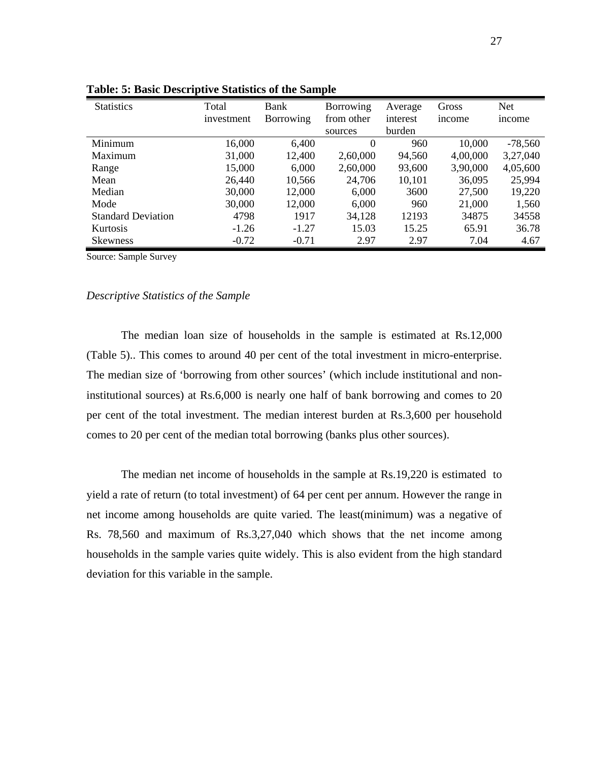| <b>Statistics</b>         | Total      | Bank      | Borrowing  | Average  | Gross    | <b>Net</b> |
|---------------------------|------------|-----------|------------|----------|----------|------------|
|                           | investment | Borrowing | from other | interest | income   | income     |
|                           |            |           | sources    | burden   |          |            |
| Minimum                   | 16,000     | 6,400     | $\theta$   | 960      | 10,000   | $-78,560$  |
| Maximum                   | 31,000     | 12,400    | 2,60,000   | 94,560   | 4,00,000 | 3,27,040   |
| Range                     | 15,000     | 6,000     | 2,60,000   | 93,600   | 3,90,000 | 4,05,600   |
| Mean                      | 26,440     | 10,566    | 24,706     | 10,101   | 36,095   | 25,994     |
| Median                    | 30,000     | 12,000    | 6,000      | 3600     | 27,500   | 19,220     |
| Mode                      | 30,000     | 12,000    | 6,000      | 960      | 21,000   | 1,560      |
| <b>Standard Deviation</b> | 4798       | 1917      | 34,128     | 12193    | 34875    | 34558      |
| <b>Kurtosis</b>           | $-1.26$    | $-1.27$   | 15.03      | 15.25    | 65.91    | 36.78      |
| Skewness                  | $-0.72$    | $-0.71$   | 2.97       | 2.97     | 7.04     | 4.67       |

**Table: 5: Basic Descriptive Statistics of the Sample** 

Source: Sample Survey

#### *Descriptive Statistics of the Sample*

The median loan size of households in the sample is estimated at Rs.12,000 (Table 5).. This comes to around 40 per cent of the total investment in micro-enterprise. The median size of 'borrowing from other sources' (which include institutional and noninstitutional sources) at Rs.6,000 is nearly one half of bank borrowing and comes to 20 per cent of the total investment. The median interest burden at Rs.3,600 per household comes to 20 per cent of the median total borrowing (banks plus other sources).

The median net income of households in the sample at Rs.19,220 is estimated to yield a rate of return (to total investment) of 64 per cent per annum. However the range in net income among households are quite varied. The least(minimum) was a negative of Rs. 78,560 and maximum of Rs.3,27,040 which shows that the net income among households in the sample varies quite widely. This is also evident from the high standard deviation for this variable in the sample.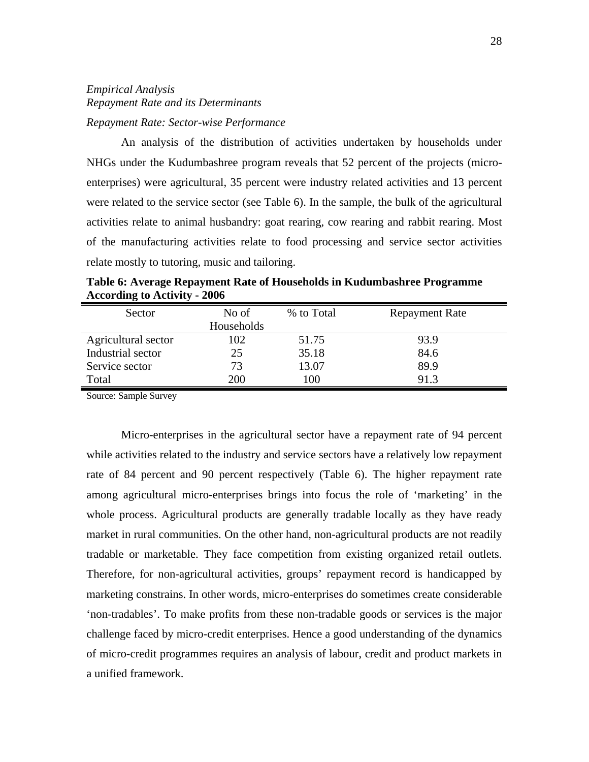# *Empirical Analysis Repayment Rate and its Determinants Repayment Rate: Sector-wise Performance*

An analysis of the distribution of activities undertaken by households under NHGs under the Kudumbashree program reveals that 52 percent of the projects (microenterprises) were agricultural, 35 percent were industry related activities and 13 percent were related to the service sector (see Table 6). In the sample, the bulk of the agricultural activities relate to animal husbandry: goat rearing, cow rearing and rabbit rearing. Most of the manufacturing activities relate to food processing and service sector activities relate mostly to tutoring, music and tailoring.

| Sector              | No of      | % to Total | <b>Repayment Rate</b> |
|---------------------|------------|------------|-----------------------|
|                     | Households |            |                       |
| Agricultural sector | 102        | 51.75      | 93.9                  |
| Industrial sector   | 25         | 35.18      | 84.6                  |
| Service sector      | 73         | 13.07      | 89.9                  |
| Total               | <b>200</b> | 100        | 91.3                  |

**Table 6: Average Repayment Rate of Households in Kudumbashree Programme According to Activity - 2006**

Source: Sample Survey

Micro-enterprises in the agricultural sector have a repayment rate of 94 percent while activities related to the industry and service sectors have a relatively low repayment rate of 84 percent and 90 percent respectively (Table 6). The higher repayment rate among agricultural micro-enterprises brings into focus the role of 'marketing' in the whole process. Agricultural products are generally tradable locally as they have ready market in rural communities. On the other hand, non-agricultural products are not readily tradable or marketable. They face competition from existing organized retail outlets. Therefore, for non-agricultural activities, groups' repayment record is handicapped by marketing constrains. In other words, micro-enterprises do sometimes create considerable 'non-tradables'. To make profits from these non-tradable goods or services is the major challenge faced by micro-credit enterprises. Hence a good understanding of the dynamics of micro-credit programmes requires an analysis of labour, credit and product markets in a unified framework.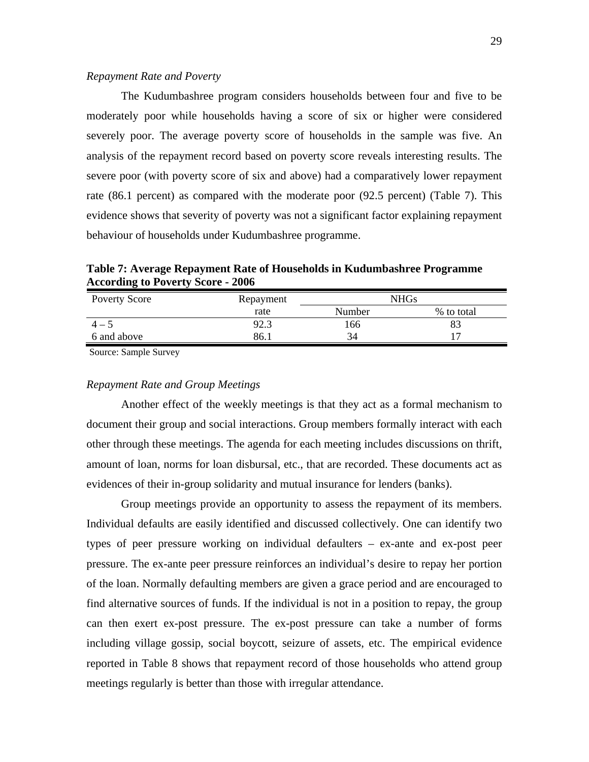#### *Repayment Rate and Poverty*

The Kudumbashree program considers households between four and five to be moderately poor while households having a score of six or higher were considered severely poor. The average poverty score of households in the sample was five. An analysis of the repayment record based on poverty score reveals interesting results. The severe poor (with poverty score of six and above) had a comparatively lower repayment rate (86.1 percent) as compared with the moderate poor (92.5 percent) (Table 7). This evidence shows that severity of poverty was not a significant factor explaining repayment behaviour of households under Kudumbashree programme.

**Table 7: Average Repayment Rate of Households in Kudumbashree Programme According to Poverty Score - 2006**

| <b>Poverty Score</b> | Repayment |        | NHGs       |
|----------------------|-----------|--------|------------|
|                      | rate      | Number | % to total |
|                      | 92.3      | 166    |            |
| 6 and above          | 86.       |        |            |

Source: Sample Survey

#### *Repayment Rate and Group Meetings*

Another effect of the weekly meetings is that they act as a formal mechanism to document their group and social interactions. Group members formally interact with each other through these meetings. The agenda for each meeting includes discussions on thrift, amount of loan, norms for loan disbursal, etc., that are recorded. These documents act as evidences of their in-group solidarity and mutual insurance for lenders (banks).

Group meetings provide an opportunity to assess the repayment of its members. Individual defaults are easily identified and discussed collectively. One can identify two types of peer pressure working on individual defaulters – ex-ante and ex-post peer pressure. The ex-ante peer pressure reinforces an individual's desire to repay her portion of the loan. Normally defaulting members are given a grace period and are encouraged to find alternative sources of funds. If the individual is not in a position to repay, the group can then exert ex-post pressure. The ex-post pressure can take a number of forms including village gossip, social boycott, seizure of assets, etc. The empirical evidence reported in Table 8 shows that repayment record of those households who attend group meetings regularly is better than those with irregular attendance.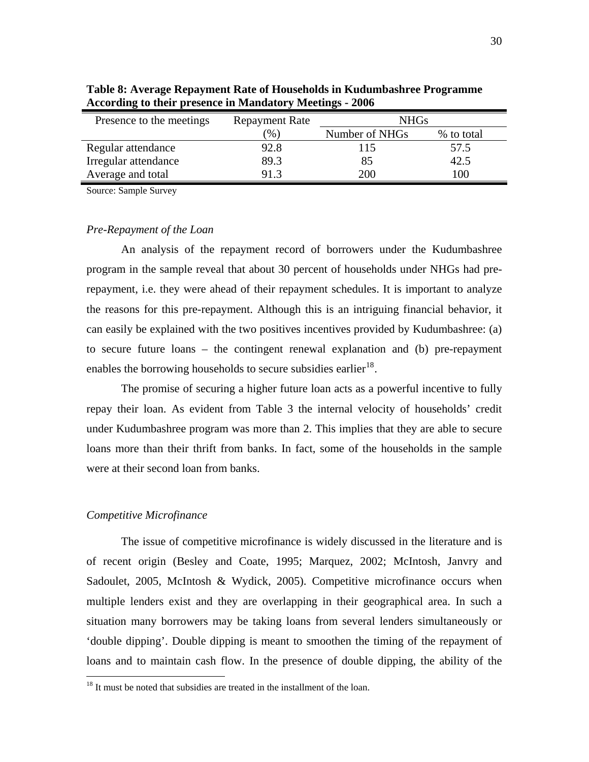| Presence to the meetings | <b>Repayment Rate</b> | <b>NHGs</b>    |            |
|--------------------------|-----------------------|----------------|------------|
|                          | (96)                  | Number of NHGs | % to total |
| Regular attendance       | 92.8                  | 115            | 57.5       |
| Irregular attendance     | 89.3                  | 85             | 42.5       |
| Average and total        | 91.3                  | <b>200</b>     | 00         |

**Table 8: Average Repayment Rate of Households in Kudumbashree Programme According to their presence in Mandatory Meetings - 2006**

Source: Sample Survey

#### *Pre-Repayment of the Loan*

An analysis of the repayment record of borrowers under the Kudumbashree program in the sample reveal that about 30 percent of households under NHGs had prerepayment, i.e. they were ahead of their repayment schedules. It is important to analyze the reasons for this pre-repayment. Although this is an intriguing financial behavior, it can easily be explained with the two positives incentives provided by Kudumbashree: (a) to secure future loans – the contingent renewal explanation and (b) pre-repayment enables the borrowing households to secure subsidies earlier<sup>[18](#page-29-0)</sup>.

The promise of securing a higher future loan acts as a powerful incentive to fully repay their loan. As evident from Table 3 the internal velocity of households' credit under Kudumbashree program was more than 2. This implies that they are able to secure loans more than their thrift from banks. In fact, some of the households in the sample were at their second loan from banks.

#### *Competitive Microfinance*

 $\overline{a}$ 

The issue of competitive microfinance is widely discussed in the literature and is of recent origin (Besley and Coate, 1995; Marquez, 2002; McIntosh, Janvry and Sadoulet, 2005, McIntosh & Wydick, 2005). Competitive microfinance occurs when multiple lenders exist and they are overlapping in their geographical area. In such a situation many borrowers may be taking loans from several lenders simultaneously or 'double dipping'. Double dipping is meant to smoothen the timing of the repayment of loans and to maintain cash flow. In the presence of double dipping, the ability of the

<span id="page-29-0"></span><sup>&</sup>lt;sup>18</sup> It must be noted that subsidies are treated in the installment of the loan.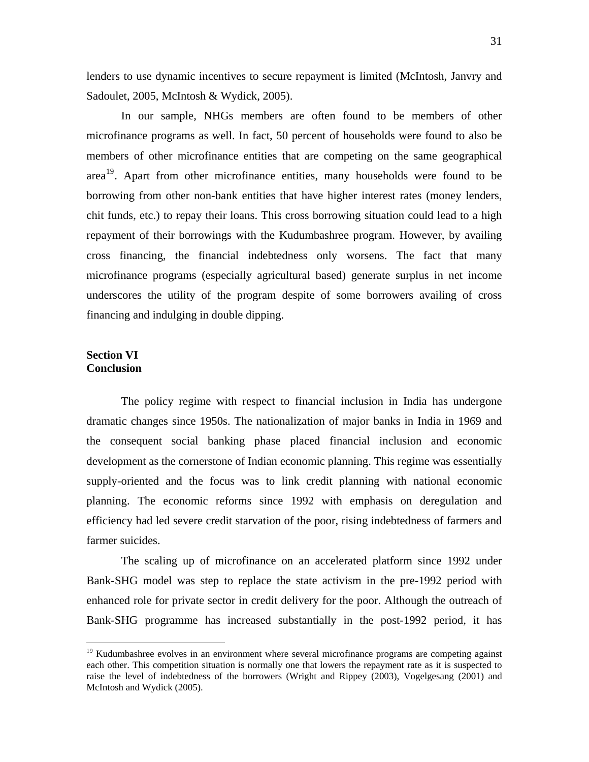lenders to use dynamic incentives to secure repayment is limited (McIntosh, Janvry and Sadoulet, 2005, McIntosh & Wydick, 2005).

In our sample, NHGs members are often found to be members of other microfinance programs as well. In fact, 50 percent of households were found to also be members of other microfinance entities that are competing on the same geographical area<sup>[19](#page-30-0)</sup>. Apart from other microfinance entities, many households were found to be borrowing from other non-bank entities that have higher interest rates (money lenders, chit funds, etc.) to repay their loans. This cross borrowing situation could lead to a high repayment of their borrowings with the Kudumbashree program. However, by availing cross financing, the financial indebtedness only worsens. The fact that many microfinance programs (especially agricultural based) generate surplus in net income underscores the utility of the program despite of some borrowers availing of cross financing and indulging in double dipping.

### **Section VI Conclusion**

 $\overline{a}$ 

The policy regime with respect to financial inclusion in India has undergone dramatic changes since 1950s. The nationalization of major banks in India in 1969 and the consequent social banking phase placed financial inclusion and economic development as the cornerstone of Indian economic planning. This regime was essentially supply-oriented and the focus was to link credit planning with national economic planning. The economic reforms since 1992 with emphasis on deregulation and efficiency had led severe credit starvation of the poor, rising indebtedness of farmers and farmer suicides.

The scaling up of microfinance on an accelerated platform since 1992 under Bank-SHG model was step to replace the state activism in the pre-1992 period with enhanced role for private sector in credit delivery for the poor. Although the outreach of Bank-SHG programme has increased substantially in the post-1992 period, it has

<span id="page-30-0"></span> $19$  Kudumbashree evolves in an environment where several microfinance programs are competing against each other. This competition situation is normally one that lowers the repayment rate as it is suspected to raise the level of indebtedness of the borrowers (Wright and Rippey (2003), Vogelgesang (2001) and McIntosh and Wydick (2005).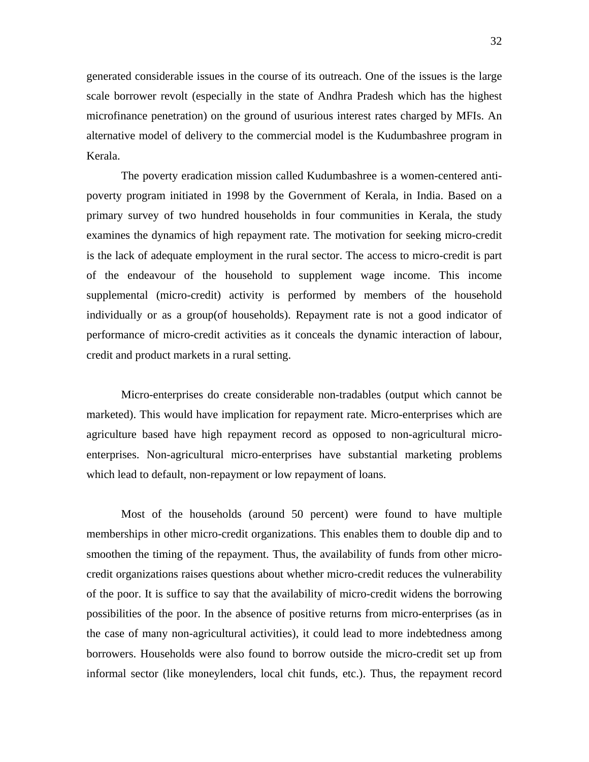generated considerable issues in the course of its outreach. One of the issues is the large scale borrower revolt (especially in the state of Andhra Pradesh which has the highest microfinance penetration) on the ground of usurious interest rates charged by MFIs. An alternative model of delivery to the commercial model is the Kudumbashree program in Kerala.

The poverty eradication mission called Kudumbashree is a women-centered antipoverty program initiated in 1998 by the Government of Kerala, in India. Based on a primary survey of two hundred households in four communities in Kerala, the study examines the dynamics of high repayment rate. The motivation for seeking micro-credit is the lack of adequate employment in the rural sector. The access to micro-credit is part of the endeavour of the household to supplement wage income. This income supplemental (micro-credit) activity is performed by members of the household individually or as a group(of households). Repayment rate is not a good indicator of performance of micro-credit activities as it conceals the dynamic interaction of labour, credit and product markets in a rural setting.

Micro-enterprises do create considerable non-tradables (output which cannot be marketed). This would have implication for repayment rate. Micro-enterprises which are agriculture based have high repayment record as opposed to non-agricultural microenterprises. Non-agricultural micro-enterprises have substantial marketing problems which lead to default, non-repayment or low repayment of loans.

Most of the households (around 50 percent) were found to have multiple memberships in other micro-credit organizations. This enables them to double dip and to smoothen the timing of the repayment. Thus, the availability of funds from other microcredit organizations raises questions about whether micro-credit reduces the vulnerability of the poor. It is suffice to say that the availability of micro-credit widens the borrowing possibilities of the poor. In the absence of positive returns from micro-enterprises (as in the case of many non-agricultural activities), it could lead to more indebtedness among borrowers. Households were also found to borrow outside the micro-credit set up from informal sector (like moneylenders, local chit funds, etc.). Thus, the repayment record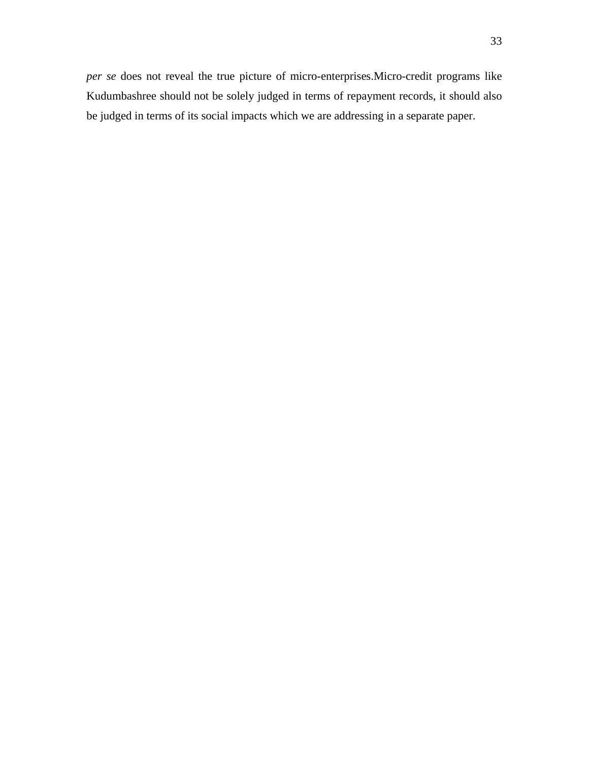*per se* does not reveal the true picture of micro-enterprises.Micro-credit programs like Kudumbashree should not be solely judged in terms of repayment records, it should also be judged in terms of its social impacts which we are addressing in a separate paper.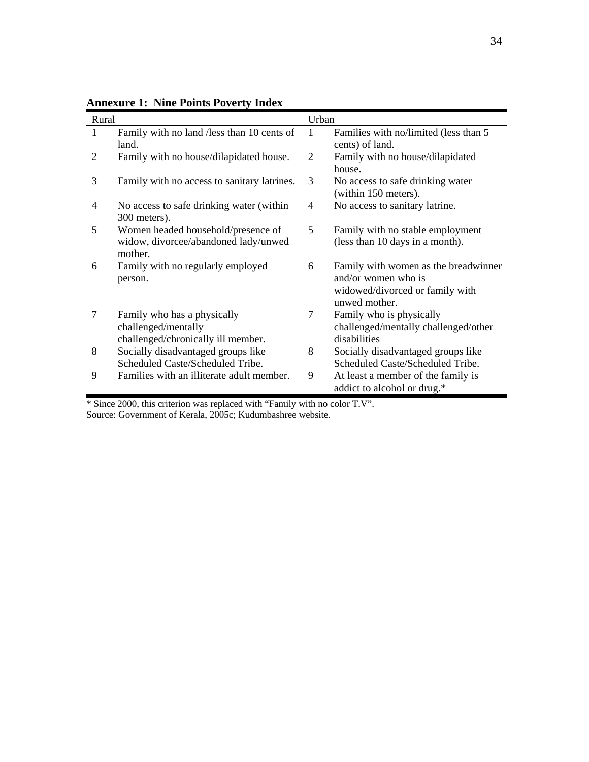| Rural |                                                                                          | Urban |                                                                                                                 |
|-------|------------------------------------------------------------------------------------------|-------|-----------------------------------------------------------------------------------------------------------------|
| 1     | Family with no land /less than 10 cents of<br>land.                                      | 1     | Families with no/limited (less than 5<br>cents) of land.                                                        |
| 2     | Family with no house/dilapidated house.                                                  | 2     | Family with no house/dilapidated<br>house.                                                                      |
| 3     | Family with no access to sanitary latrines.                                              | 3     | No access to safe drinking water<br>(within 150 meters).                                                        |
| 4     | No access to safe drinking water (within<br>300 meters).                                 | 4     | No access to sanitary latrine.                                                                                  |
| 5     | Women headed household/presence of<br>widow, divorcee/abandoned lady/unwed<br>mother.    | 5     | Family with no stable employment<br>(less than 10 days in a month).                                             |
| 6     | Family with no regularly employed<br>person.                                             | 6     | Family with women as the breadwinner<br>and/or women who is<br>widowed/divorced or family with<br>unwed mother. |
| 7     | Family who has a physically<br>challenged/mentally<br>challenged/chronically ill member. | 7     | Family who is physically<br>challenged/mentally challenged/other<br>disabilities                                |
| 8     | Socially disadvantaged groups like<br>Scheduled Caste/Scheduled Tribe.                   | 8     | Socially disadvantaged groups like<br>Scheduled Caste/Scheduled Tribe.                                          |
| 9     | Families with an illiterate adult member.                                                | 9     | At least a member of the family is<br>addict to alcohol or drug.*                                               |

**Annexure 1: Nine Points Poverty Index** 

\* Since 2000, this criterion was replaced with "Family with no color T.V". Source: Government of Kerala, 2005c; Kudumbashree website.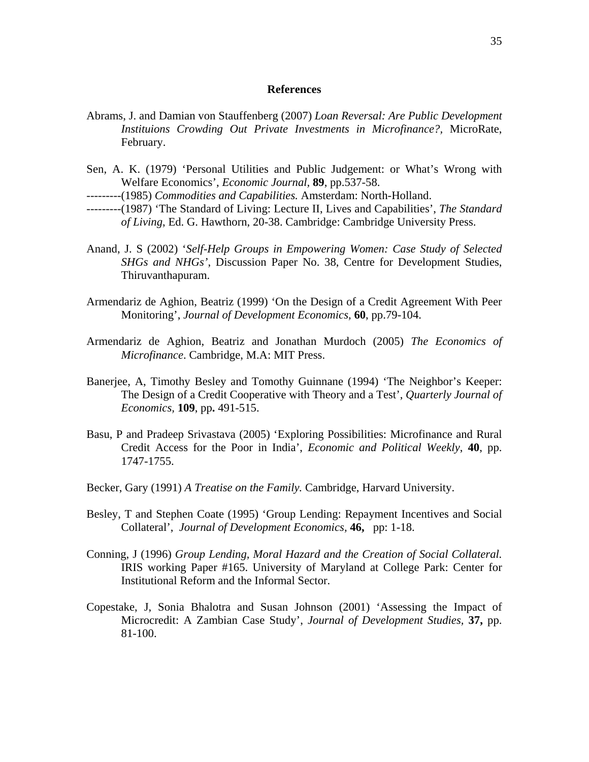#### **References**

- Abrams, J. and Damian von Stauffenberg (2007) *Loan Reversal: Are Public Development Instituions Crowding Out Private Investments in Microfinance?,* MicroRate, February.
- Sen, A. K. (1979) 'Personal Utilities and Public Judgement: or What's Wrong with Welfare Economics', *Economic Journal,* **89**, pp.537-58.
- ---------(1985) *Commodities and Capabilities.* Amsterdam: North-Holland.
- ---------(1987) 'The Standard of Living: Lecture II, Lives and Capabilities', *The Standard of Living*, Ed. G. Hawthorn, 20-38. Cambridge: Cambridge University Press.
- Anand, J. S (2002) '*Self-Help Groups in Empowering Women: Case Study of Selected SHGs and NHGs'*, Discussion Paper No. 38, Centre for Development Studies, Thiruvanthapuram.
- Armendariz de Aghion, Beatriz (1999) 'On the Design of a Credit Agreement With Peer Monitoring', *Journal of Development Economics,* **60**, pp.79-104.
- Armendariz de Aghion, Beatriz and Jonathan Murdoch (2005) *The Economics of Microfinance*. Cambridge, M.A: MIT Press.
- Banerjee, A, Timothy Besley and Tomothy Guinnane (1994) 'The Neighbor's Keeper: The Design of a Credit Cooperative with Theory and a Test', *Quarterly Journal of Economics,* **109**, pp**.** 491-515.
- Basu, P and Pradeep Srivastava (2005) 'Exploring Possibilities: Microfinance and Rural Credit Access for the Poor in India', *Economic and Political Weekly*, **40**, pp. 1747-1755.
- Becker, Gary (1991) *A Treatise on the Family.* Cambridge, Harvard University.
- Besley, T and Stephen Coate (1995) 'Group Lending: Repayment Incentives and Social Collateral', *Journal of Development Economics,* **46,** pp: 1-18.
- Conning, J (1996) *Group Lending, Moral Hazard and the Creation of Social Collateral.* IRIS working Paper #165. University of Maryland at College Park: Center for Institutional Reform and the Informal Sector.
- Copestake, J, Sonia Bhalotra and Susan Johnson (2001) 'Assessing the Impact of Microcredit: A Zambian Case Study', *Journal of Development Studies,* **37,** pp. 81-100.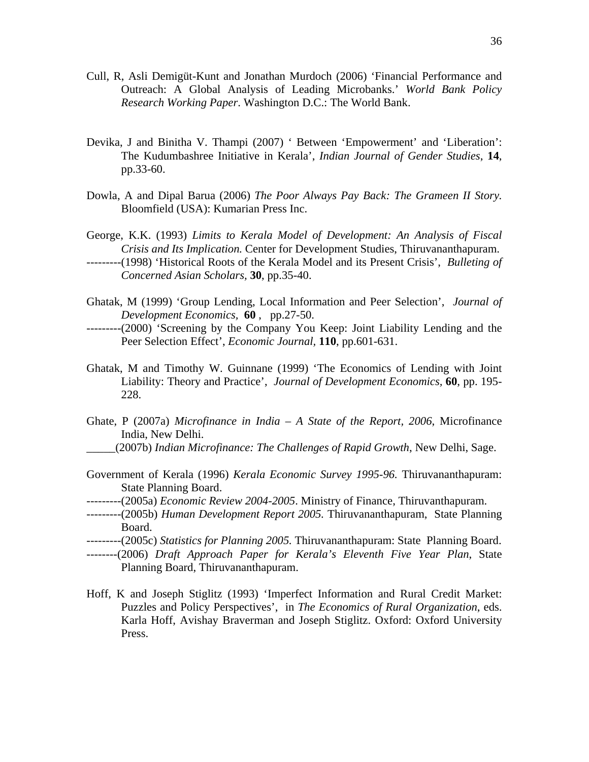- Cull, R, Asli Demigüt-Kunt and Jonathan Murdoch (2006) 'Financial Performance and Outreach: A Global Analysis of Leading Microbanks.' *World Bank Policy Research Working Paper*. Washington D.C.: The World Bank.
- Devika, J and Binitha V. Thampi (2007) ' Between 'Empowerment' and 'Liberation': The Kudumbashree Initiative in Kerala', *Indian Journal of Gender Studies*, **14**, pp.33-60.
- Dowla, A and Dipal Barua (2006) *The Poor Always Pay Back: The Grameen II Story.*  Bloomfield (USA): Kumarian Press Inc.

George, K.K. (1993) *Limits to Kerala Model of Development: An Analysis of Fiscal Crisis and Its Implication.* Center for Development Studies, Thiruvananthapuram. ---------(1998) 'Historical Roots of the Kerala Model and its Present Crisis', *Bulleting of* 

Ghatak, M (1999) 'Group Lending, Local Information and Peer Selection', *Journal of Development Economics,* **60** , pp.27-50.

*Concerned Asian Scholars,* **30**, pp.35-40.

- ---------(2000) 'Screening by the Company You Keep: Joint Liability Lending and the Peer Selection Effect', *Economic Journal,* **110**, pp.601-631.
- Ghatak, M and Timothy W. Guinnane (1999) 'The Economics of Lending with Joint Liability: Theory and Practice', *Journal of Development Economics,* **60**, pp. 195- 228.
- Ghate, P (2007a) *Microfinance in India A State of the Report, 2006*, Microfinance India, New Delhi. \_\_\_\_\_(2007b) *Indian Microfinance: The Challenges of Rapid Growth*, New Delhi, Sage.
- Government of Kerala (1996) *Kerala Economic Survey 1995-96.* Thiruvananthapuram: State Planning Board.
- ---------(2005a) *Economic Review 2004-2005*. Ministry of Finance, Thiruvanthapuram.
- ---------(2005b) *Human Development Report 2005.* Thiruvananthapuram, State Planning Board.
- ---------(2005c) *Statistics for Planning 2005.* Thiruvananthapuram: State Planning Board.
- --------(2006) *Draft Approach Paper for Kerala's Eleventh Five Year Plan*, State Planning Board, Thiruvananthapuram.
- Hoff, K and Joseph Stiglitz (1993) 'Imperfect Information and Rural Credit Market: Puzzles and Policy Perspectives', in *The Economics of Rural Organization*, eds. Karla Hoff, Avishay Braverman and Joseph Stiglitz. Oxford: Oxford University Press.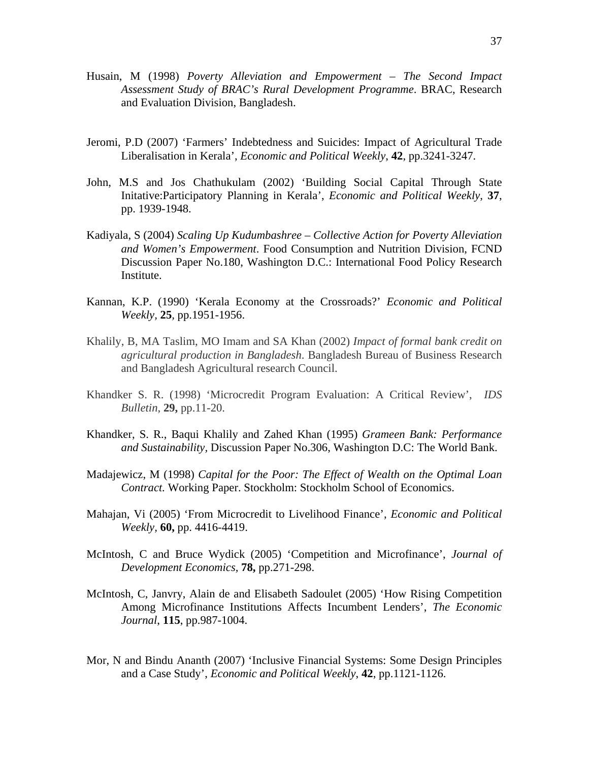- Husain, M (1998) *Poverty Alleviation and Empowerment The Second Impact Assessment Study of BRAC's Rural Development Programme*. BRAC, Research and Evaluation Division, Bangladesh.
- Jeromi, P.D (2007) 'Farmers' Indebtedness and Suicides: Impact of Agricultural Trade Liberalisation in Kerala', *Economic and Political Weekly*, **42**, pp.3241-3247.
- John, M.S and Jos Chathukulam (2002) 'Building Social Capital Through State Initative:Participatory Planning in Kerala', *Economic and Political Weekly*, **37**, pp. 1939-1948.
- Kadiyala, S (2004) *Scaling Up Kudumbashree Collective Action for Poverty Alleviation and Women's Empowerment*. Food Consumption and Nutrition Division, FCND Discussion Paper No.180, Washington D.C.: International Food Policy Research Institute.
- Kannan, K.P. (1990) 'Kerala Economy at the Crossroads?' *Economic and Political Weekly,* **25***,* pp.1951-1956.
- Khalily, B, MA Taslim, MO Imam and SA Khan (2002) *Impact of formal bank credit on agricultural production in Bangladesh*. Bangladesh Bureau of Business Research and Bangladesh Agricultural research Council.
- Khandker S. R. (1998) 'Microcredit Program Evaluation: A Critical Review', *IDS Bulletin,* **29,** pp.11-20.
- Khandker, S. R., Baqui Khalily and Zahed Khan (1995) *Grameen Bank: Performance and Sustainability,* Discussion Paper No.306, Washington D.C: The World Bank.
- Madajewicz, M (1998) *Capital for the Poor: The Effect of Wealth on the Optimal Loan Contract.* Working Paper. Stockholm: Stockholm School of Economics.
- Mahajan, Vi (2005) 'From Microcredit to Livelihood Finance', *Economic and Political Weekly,* **60,** pp. 4416-4419.
- McIntosh, C and Bruce Wydick (2005) 'Competition and Microfinance', *Journal of Development Economics,* **78,** pp.271-298.
- McIntosh, C, Janvry, Alain de and Elisabeth Sadoulet (2005) 'How Rising Competition Among Microfinance Institutions Affects Incumbent Lenders', *The Economic Journal*, **115**, pp.987-1004.
- Mor, N and Bindu Ananth (2007) 'Inclusive Financial Systems: Some Design Principles and a Case Study', *Economic and Political Weekly*, **42**, pp.1121-1126.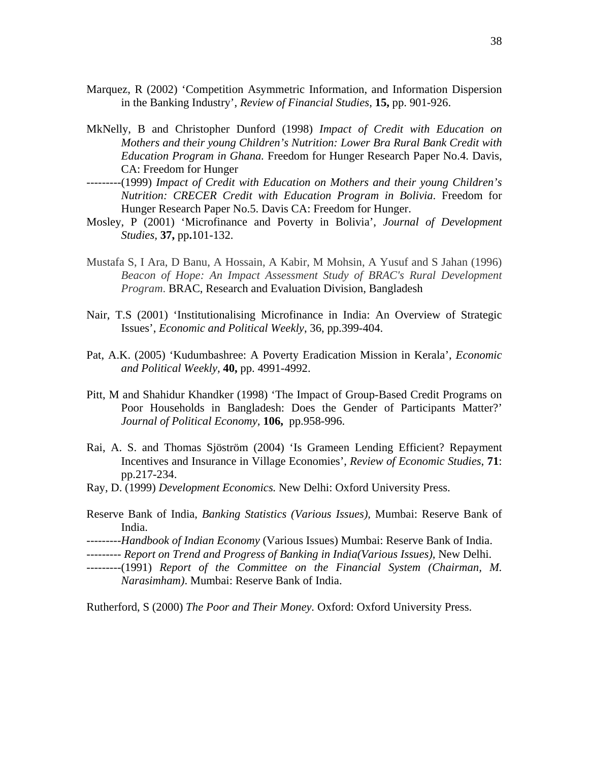- Marquez, R (2002) 'Competition Asymmetric Information, and Information Dispersion in the Banking Industry', *Review of Financial Studies,* **15,** pp. 901-926.
- MkNelly, B and Christopher Dunford (1998) *Impact of Credit with Education on Mothers and their young Children's Nutrition: Lower Bra Rural Bank Credit with Education Program in Ghana.* Freedom for Hunger Research Paper No.4. Davis, CA: Freedom for Hunger
- ---------(1999) *Impact of Credit with Education on Mothers and their young Children's Nutrition: CRECER Credit with Education Program in Bolivia*. Freedom for Hunger Research Paper No.5. Davis CA: Freedom for Hunger.
- Mosley, P (2001) 'Microfinance and Poverty in Bolivia', *Journal of Development Studies,* **37,** pp**.**101-132.
- Mustafa S, I Ara, D Banu, A Hossain, A Kabir, M Mohsin, A Yusuf and S Jahan (1996) *Beacon of Hope: An Impact Assessment Study of BRAC's Rural Development Program*. BRAC, Research and Evaluation Division, Bangladesh
- Nair, T.S (2001) 'Institutionalising Microfinance in India: An Overview of Strategic Issues', *Economic and Political Weekly*, 36, pp.399-404.
- Pat, A.K. (2005) 'Kudumbashree: A Poverty Eradication Mission in Kerala', *Economic and Political Weekly,* **40,** pp. 4991-4992.
- Pitt, M and Shahidur Khandker (1998) 'The Impact of Group-Based Credit Programs on Poor Households in Bangladesh: Does the Gender of Participants Matter?' *Journal of Political Economy,* **106,** pp.958-996.
- Rai, A. S. and Thomas Sjöström (2004) 'Is Grameen Lending Efficient? Repayment Incentives and Insurance in Village Economies', *Review of Economic Studies*, **71**: pp.217-234.
- Ray, D. (1999) *Development Economics.* New Delhi: Oxford University Press.
- Reserve Bank of India, *Banking Statistics (Various Issues),* Mumbai: Reserve Bank of India.
- ---------*Handbook of Indian Economy* (Various Issues) Mumbai: Reserve Bank of India.
- --------- *Report on Trend and Progress of Banking in India(Various Issues),* New Delhi.
- ---------(1991) *Report of the Committee on the Financial System (Chairman, M. Narasimham)*. Mumbai: Reserve Bank of India.

Rutherford, S (2000) *The Poor and Their Money.* Oxford: Oxford University Press.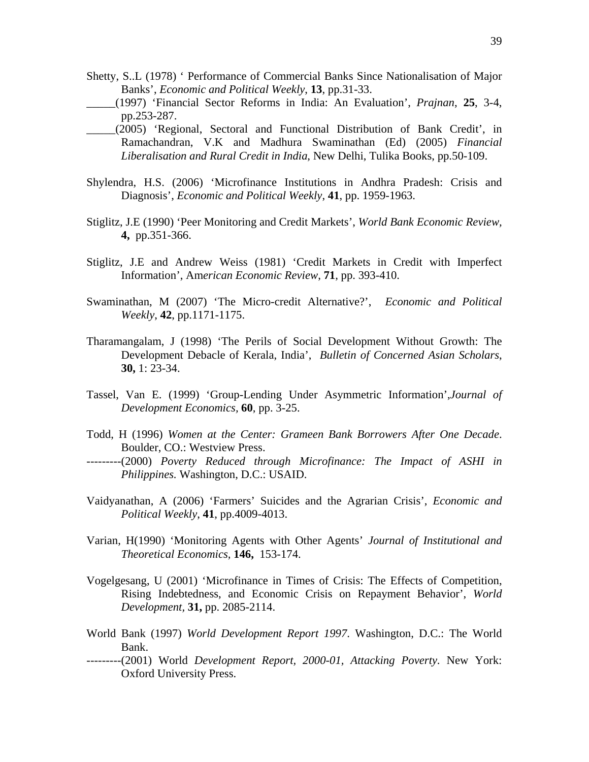- Shetty, S..L (1978) ' Performance of Commercial Banks Since Nationalisation of Major Banks', *Economic and Political Weekly*, **13**, pp.31-33.
- \_\_\_\_\_(1997) 'Financial Sector Reforms in India: An Evaluation', *Prajnan*, **25**, 3-4, pp.253-287.
- \_\_\_\_\_(2005) 'Regional, Sectoral and Functional Distribution of Bank Credit', in Ramachandran, V.K and Madhura Swaminathan (Ed) (2005) *Financial Liberalisation and Rural Credit in India*, New Delhi, Tulika Books, pp.50-109.
- Shylendra, H.S. (2006) 'Microfinance Institutions in Andhra Pradesh: Crisis and Diagnosis', *Economic and Political Weekly*, **41**, pp. 1959-1963.
- Stiglitz, J.E (1990) 'Peer Monitoring and Credit Markets', *World Bank Economic Review,* **4,** pp.351-366.
- Stiglitz, J.E and Andrew Weiss (1981) 'Credit Markets in Credit with Imperfect Information', Am*erican Economic Review*, **71**, pp. 393-410.
- Swaminathan, M (2007) 'The Micro-credit Alternative?', *Economic and Political Weekly*, **42**, pp.1171-1175.
- Tharamangalam, J (1998) 'The Perils of Social Development Without Growth: The Development Debacle of Kerala, India', *Bulletin of Concerned Asian Scholars*, **30,** 1: 23-34.
- Tassel, Van E. (1999) 'Group-Lending Under Asymmetric Information',*Journal of Development Economics,* **60**, pp. 3-25.
- Todd, H (1996) *Women at the Center: Grameen Bank Borrowers After One Decade*. Boulder, CO.: Westview Press.
- ---------(2000) *Poverty Reduced through Microfinance: The Impact of ASHI in Philippines.* Washington, D.C.: USAID.
- Vaidyanathan, A (2006) 'Farmers' Suicides and the Agrarian Crisis', *Economic and Political Weekly*, **41**, pp.4009-4013.
- Varian, H(1990) 'Monitoring Agents with Other Agents' *Journal of Institutional and Theoretical Economics,* **146,** 153-174.
- Vogelgesang, U (2001) 'Microfinance in Times of Crisis: The Effects of Competition, Rising Indebtedness, and Economic Crisis on Repayment Behavior', *World Development,* **31,** pp. 2085-2114.
- World Bank (1997) *World Development Report 1997*. Washington, D.C.: The World Bank.
- ---------(2001) World *Development Report, 2000-01, Attacking Poverty.* New York: Oxford University Press.